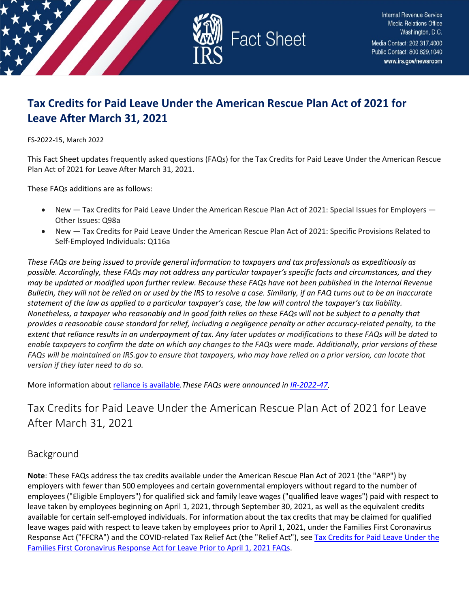

# **Tax Credits for Paid Leave Under the American Rescue Plan Act of 2021 for Leave After March 31, 2021**

FS-2022-15, March 2022

This Fact Sheet updates frequently asked questions (FAQs) for the Tax Credits for Paid Leave Under the American Rescue Plan Act of 2021 for Leave After March 31, 2021.

These FAQs additions are as follows:

- New Tax Credits for Paid Leave Under the American Rescue Plan Act of 2021: Special Issues for Employers Other Issues: Q98a
- New Tax Credits for Paid Leave Under the American Rescue Plan Act of 2021: Specific Provisions Related to Self-Employed Individuals: Q116a

*These FAQs are being issued to provide general information to taxpayers and tax professionals as expeditiously as possible. Accordingly, these FAQs may not address any particular taxpayer's specific facts and circumstances, and they may be updated or modified upon further review. Because these FAQs have not been published in the Internal Revenue Bulletin, they will not be relied on or used by the IRS to resolve a case. Similarly, if an FAQ turns out to be an inaccurate statement of the law as applied to a particular taxpayer's case, the law will control the taxpayer's tax liability. Nonetheless, a taxpayer who reasonably and in good faith relies on these FAQs will not be subject to a penalty that provides a reasonable cause standard for relief, including a negligence penalty or other accuracy-related penalty, to the extent that reliance results in an underpayment of tax. Any later updates or modifications to these FAQs will be dated to enable taxpayers to confirm the date on which any changes to the FAQs were made. Additionally, prior versions of these FAQs will be maintained on IRS.gov to ensure that taxpayers, who may have relied on a prior version, can locate that version if they later need to do so.*

More information abou[t reliance is available](https://www.irs.gov/newsroom/general-overview-of-taxpayer-reliance-on-guidance-published-in-the-internal-revenue-bulletin-and-faqs)*.These FAQs were announced in [IR-2022-47.](https://www.irs.gov/newsroom/irs-updates-frequently-asked-questions-for-tax-credits-for-paid-leave-under-the-american-rescue-plan-act-of-2021-for-leave-after-march-31-2021)* 

# Tax Credits for Paid Leave Under the American Rescue Plan Act of 2021 for Leave After March 31, 2021

## Background

**Note**: These FAQs address the tax credits available under the American Rescue Plan Act of 2021 (the "ARP") by employers with fewer than 500 employees and certain governmental employers without regard to the number of employees ("Eligible Employers") for qualified sick and family leave wages ("qualified leave wages") paid with respect to leave taken by employees beginning on April 1, 2021, through September 30, 2021, as well as the equivalent credits available for certain self-employed individuals. For information about the tax credits that may be claimed for qualified leave wages paid with respect to leave taken by employees prior to April 1, 2021, under the Families First Coronavirus Response Act ("FFCRA") and the COVID-related Tax Relief Act (the "Relief Act"), se[e Tax Credits for Paid Leave Under the](https://www.irs.gov/newsroom/tax-credits-for-paid-leave-under-the-families-first-coronavirus-response-act-for-leave-prior-to-april-1-2021)  [Families First Coronavirus Response Act for Leave Prior to April 1, 2021 FAQs.](https://www.irs.gov/newsroom/tax-credits-for-paid-leave-under-the-families-first-coronavirus-response-act-for-leave-prior-to-april-1-2021)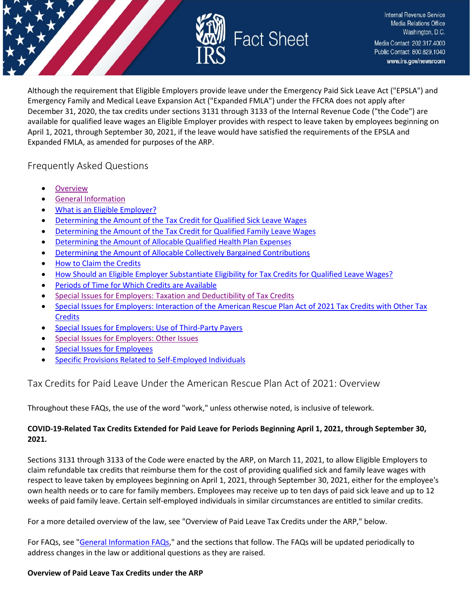

Although the requirement that Eligible Employers provide leave under the Emergency Paid Sick Leave Act ("EPSLA") and Emergency Family and Medical Leave Expansion Act ("Expanded FMLA") under the FFCRA does not apply after December 31, 2020, the tax credits under sections 3131 through 3133 of the Internal Revenue Code ("the Code") are available for qualified leave wages an Eligible Employer provides with respect to leave taken by employees beginning on April 1, 2021, through September 30, 2021, if the leave would have satisfied the requirements of the EPSLA and Expanded FMLA, as amended for purposes of the ARP.

## Frequently Asked Questions

- **[Overview](#page-1-0)**
- [General Information](#page-5-0)
- [What is an Eligible Employer?](#page-10-0)
- [Determining the Amount of the Tax Credit for Qualified Sick Leave Wages](#page-12-0)
- [Determining the Amount of the Tax Credit for Qualified Family Leave Wages](#page-17-0)
- [Determining the Amount of Allocable Qualified Health Plan Expenses](#page-21-0)
- [Determining the Amount of Allocable Collectively Bargained Contributions](#page-22-0)
- [How to Claim the Credits](#page-23-0)
- [How Should an Eligible Employer Substantiate Eligibility for Tax Credits for Qualified Leave Wages?](#page-28-0)
- [Periods of Time for Which Credits are Available](#page-30-0)
- [Special Issues for Employers: Taxation and Deductibility of Tax Credits](#page-30-1)
- Special [Issues for Employers: Interaction of the American Rescue Plan Act of 2021 Tax Credits with Other Tax](#page-32-0)  **[Credits](#page-32-0)**
- [Special Issues for Employers: Use of Third-Party Payers](#page-34-0)
- [Special Issues for Employers: Other Issues](#page-37-0)
- **[Special Issues for Employees](#page-41-0)**
- [Specific Provisions Related to Self-Employed Individuals](#page-42-0)

## <span id="page-1-0"></span>Tax Credits for Paid Leave Under the American Rescue Plan Act of 2021: Overview

Throughout these FAQs, the use of the word "work," unless otherwise noted, is inclusive of telework.

## **COVID-19-Related Tax Credits Extended for Paid Leave for Periods Beginning April 1, 2021, through September 30, 2021.**

Sections 3131 through 3133 of the Code were enacted by the ARP, on March 11, 2021, to allow Eligible Employers to claim refundable tax credits that reimburse them for the cost of providing qualified sick and family leave wages with respect to leave taken by employees beginning on April 1, 2021, through September 30, 2021, either for the employee's own health needs or to care for family members. Employees may receive up to ten days of paid sick leave and up to 12 weeks of paid family leave. Certain self-employed individuals in similar circumstances are entitled to similar credits.

For a more detailed overview of the law, see "Overview of Paid Leave Tax Credits under the ARP," below.

For FAQs, see ["General Information FAQs,](https://www.irs.gov/newsroom/tax-credits-for-paid-leave-under-the-american-rescue-plan-act-of-2021-general-information)" and the sections that follow. The FAQs will be updated periodically to address changes in the law or additional questions as they are raised.

#### **Overview of Paid Leave Tax Credits under the ARP**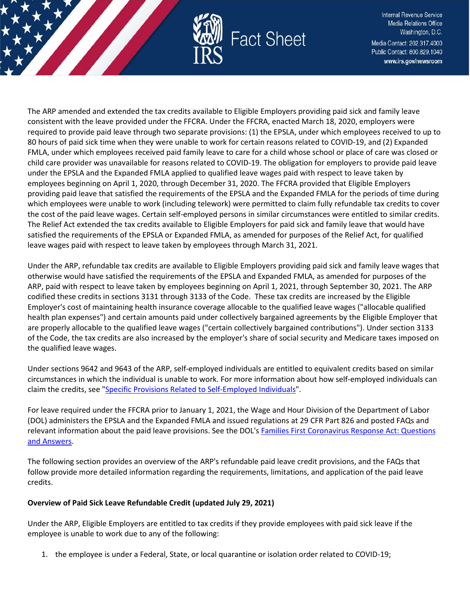

The ARP amended and extended the tax credits available to Eligible Employers providing paid sick and family leave consistent with the leave provided under the FFCRA. Under the FFCRA, enacted March 18, 2020, employers were required to provide paid leave through two separate provisions: (1) the EPSLA, under which employees received to up to 80 hours of paid sick time when they were unable to work for certain reasons related to COVID-19, and (2) Expanded FMLA, under which employees received paid family leave to care for a child whose school or place of care was closed or child care provider was unavailable for reasons related to COVID-19. The obligation for employers to provide paid leave under the EPSLA and the Expanded FMLA applied to qualified leave wages paid with respect to leave taken by employees beginning on April 1, 2020, through December 31, 2020. The FFCRA provided that Eligible Employers providing paid leave that satisfied the requirements of the EPSLA and the Expanded FMLA for the periods of time during which employees were unable to work (including telework) were permitted to claim fully refundable tax credits to cover the cost of the paid leave wages. Certain self-employed persons in similar circumstances were entitled to similar credits. The Relief Act extended the tax credits available to Eligible Employers for paid sick and family leave that would have satisfied the requirements of the EPSLA or Expanded FMLA, as amended for purposes of the Relief Act, for qualified leave wages paid with respect to leave taken by employees through March 31, 2021.

Under the ARP, refundable tax credits are available to Eligible Employers providing paid sick and family leave wages that otherwise would have satisfied the requirements of the EPSLA and Expanded FMLA, as amended for purposes of the ARP, paid with respect to leave taken by employees beginning on April 1, 2021, through September 30, 2021. The ARP codified these credits in sections 3131 through 3133 of the Code. These tax credits are increased by the Eligible Employer's cost of maintaining health insurance coverage allocable to the qualified leave wages ("allocable qualified health plan expenses") and certain amounts paid under collectively bargained agreements by the Eligible Employer that are properly allocable to the qualified leave wages ("certain collectively bargained contributions"). Under section 3133 of the Code, the tax credits are also increased by the employer's share of social security and Medicare taxes imposed on the qualified leave wages.

Under sections 9642 and 9643 of the ARP, self-employed individuals are entitled to equivalent credits based on similar circumstances in which the individual is unable to work. For more information about how self-employed individuals can claim the credits, see ["Specific Provisions Related to Self-Employed Individuals"](https://www.irs.gov/newsroom/tax-credits-for-paid-leave-under-the-american-rescue-plan-act-of-2021-specific-provisions-related-to-self-employed-individuals).

For leave required under the FFCRA prior to January 1, 2021, the Wage and Hour Division of the Department of Labor (DOL) administers the EPSLA and the Expanded FMLA and issued regulations at 29 CFR Part 826 and posted FAQs and relevant information about the paid leave provisions. See the DOL's Families First Coronavirus Response Act: Questions [and Answers.](https://www.dol.gov/agencies/whd/pandemic/ffcra-questions)

The following section provides an overview of the ARP's refundable paid leave credit provisions, and the FAQs that follow provide more detailed information regarding the requirements, limitations, and application of the paid leave credits.

#### **Overview of Paid Sick Leave Refundable Credit (updated July 29, 2021)**

Under the ARP, Eligible Employers are entitled to tax credits if they provide employees with paid sick leave if the employee is unable to work due to any of the following:

1. the employee is under a Federal, State, or local quarantine or isolation order related to COVID-19;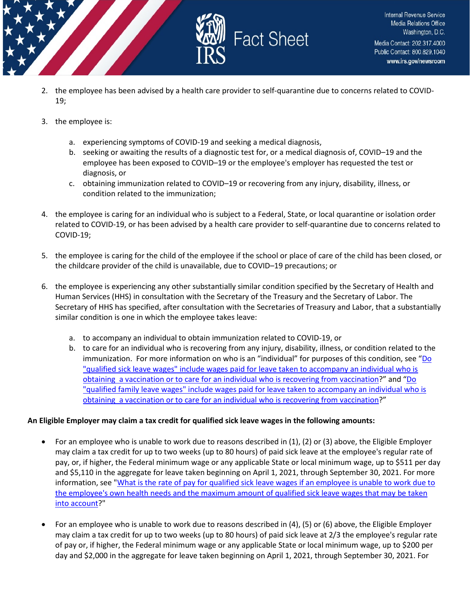

2. the employee has been advised by a health care provider to self-quarantine due to concerns related to COVID-19;

**Fact Sheet** 

- 3. the employee is:
	- a. experiencing symptoms of COVID-19 and seeking a medical diagnosis,
	- b. seeking or awaiting the results of a diagnostic test for, or a medical diagnosis of, COVID–19 and the employee has been exposed to COVID–19 or the employee's employer has requested the test or diagnosis, or
	- c. obtaining immunization related to COVID–19 or recovering from any injury, disability, illness, or condition related to the immunization;
- 4. the employee is caring for an individual who is subject to a Federal, State, or local quarantine or isolation order related to COVID-19, or has been advised by a health care provider to self-quarantine due to concerns related to COVID-19;
- 5. the employee is caring for the child of the employee if the school or place of care of the child has been closed, or the childcare provider of the child is unavailable, due to COVID–19 precautions; or
- 6. the employee is experiencing any other substantially similar condition specified by the Secretary of Health and Human Services (HHS) in consultation with the Secretary of the Treasury and the Secretary of Labor. The Secretary of HHS has specified, after consultation with the Secretaries of Treasury and Labor, that a substantially similar condition is one in which the employee takes leave:
	- a. to accompany an individual to obtain immunization related to COVID-19, or
	- b. to care for an individual who is recovering from any injury, disability, illness, or condition related to the immunization. For more information on who is an "individual" for purposes of this condition, see "Do ["qualified sick leave wages" include wages paid for leave taken to accompany an individual who is](https://www.irs.gov/newsroom/tax-credits-for-paid-leave-under-the-american-rescue-plan-act-of-2021-determining-the-amount-of-the-tax-credit-for-qualified-sick-leave-wages#27a)  [obtaining a vaccination or to care for an individual who is recovering from vaccination?](https://www.irs.gov/newsroom/tax-credits-for-paid-leave-under-the-american-rescue-plan-act-of-2021-determining-the-amount-of-the-tax-credit-for-qualified-sick-leave-wages#27a)" and ["Do](https://www.irs.gov/newsroom/tax-credits-for-paid-leave-under-the-american-rescue-plan-act-of-2021-determining-the-amount-of-the-tax-credit-for-qualified-family-leave-wages#38a)  "qualified family leave wages" include [wages paid for leave taken to accompany an individual who is](https://www.irs.gov/newsroom/tax-credits-for-paid-leave-under-the-american-rescue-plan-act-of-2021-determining-the-amount-of-the-tax-credit-for-qualified-family-leave-wages#38a)  [obtaining a vaccination or to care for an individual who is recovering from vaccination?](https://www.irs.gov/newsroom/tax-credits-for-paid-leave-under-the-american-rescue-plan-act-of-2021-determining-the-amount-of-the-tax-credit-for-qualified-family-leave-wages#38a)"

#### **An Eligible Employer may claim a tax credit for qualified sick leave wages in the following amounts:**

- For an employee who is unable to work due to reasons described in (1), (2) or (3) above, the Eligible Employer may claim a tax credit for up to two weeks (up to 80 hours) of paid sick leave at the employee's regular rate of pay, or, if higher, the Federal minimum wage or any applicable State or local minimum wage, up to \$511 per day and \$5,110 in the aggregate for leave taken beginning on April 1, 2021, through September 30, 2021. For more information, see ["What is the rate of pay for qualified sick leave wages if an employee is unable to work due to](https://www.irs.gov/newsroom/tax-credits-for-paid-leave-under-the-american-rescue-plan-act-of-2021-determining-the-amount-of-the-tax-credit-for-qualified-sick-leave-wages#30)  [the employee's own health needs and the maximum amount of qualified sick leave wages that may be taken](https://www.irs.gov/newsroom/tax-credits-for-paid-leave-under-the-american-rescue-plan-act-of-2021-determining-the-amount-of-the-tax-credit-for-qualified-sick-leave-wages#30)  [into account?](https://www.irs.gov/newsroom/tax-credits-for-paid-leave-under-the-american-rescue-plan-act-of-2021-determining-the-amount-of-the-tax-credit-for-qualified-sick-leave-wages#30)"
- For an employee who is unable to work due to reasons described in (4), (5) or (6) above, the Eligible Employer may claim a tax credit for up to two weeks (up to 80 hours) of paid sick leave at 2/3 the employee's regular rate of pay or, if higher, the Federal minimum wage or any applicable State or local minimum wage, up to \$200 per day and \$2,000 in the aggregate for leave taken beginning on April 1, 2021, through September 30, 2021. For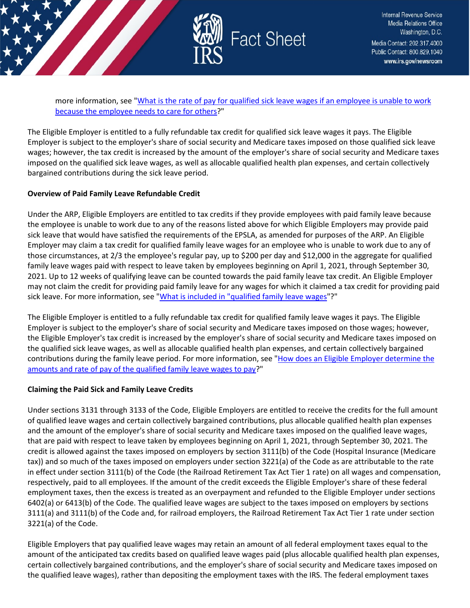

more information, see ["What is the rate of pay for qualified sick leave wages if an employee is unable to work](https://www.irs.gov/newsroom/tax-credits-for-paid-leave-under-the-american-rescue-plan-act-of-2021-determining-the-amount-of-the-tax-credit-for-qualified-sick-leave-wages#31)  [because the employee needs to care for others?](https://www.irs.gov/newsroom/tax-credits-for-paid-leave-under-the-american-rescue-plan-act-of-2021-determining-the-amount-of-the-tax-credit-for-qualified-sick-leave-wages#31)"

The Eligible Employer is entitled to a fully refundable tax credit for qualified sick leave wages it pays. The Eligible Employer is subject to the employer's share of social security and Medicare taxes imposed on those qualified sick leave wages; however, the tax credit is increased by the amount of the employer's share of social security and Medicare taxes imposed on the qualified sick leave wages, as well as allocable qualified health plan expenses, and certain collectively bargained contributions during the sick leave period.

#### **Overview of Paid Family Leave Refundable Credit**

Under the ARP, Eligible Employers are entitled to tax credits if they provide employees with paid family leave because the employee is unable to work due to any of the reasons listed above for which Eligible Employers may provide paid sick leave that would have satisfied the requirements of the EPSLA, as amended for purposes of the ARP. An Eligible Employer may claim a tax credit for qualified family leave wages for an employee who is unable to work due to any of those circumstances, at 2/3 the employee's regular pay, up to \$200 per day and \$12,000 in the aggregate for qualified family leave wages paid with respect to leave taken by employees beginning on April 1, 2021, through September 30, 2021. Up to 12 weeks of qualifying leave can be counted towards the paid family leave tax credit. An Eligible Employer may not claim the credit for providing paid family leave for any wages for which it claimed a tax credit for providing paid sick leave. For more information, see ["What is included in "qualified family leave wages"](https://www.irs.gov/node/95786#qualifiedfamilyleavewages)?"

The Eligible Employer is entitled to a fully refundable tax credit for qualified family leave wages it pays. The Eligible Employer is subject to the employer's share of social security and Medicare taxes imposed on those wages; however, the Eligible Employer's tax credit is increased by the employer's share of social security and Medicare taxes imposed on the qualified sick leave wages, as well as allocable qualified health plan expenses, and certain collectively bargained contributions during the family leave period. For more information, see "How does an Eligible Employer determine the [amounts and rate of pay of the qualified family leave wages to pay?](https://www.irs.gov/newsroom/tax-credits-for-paid-leave-under-the-american-rescue-plan-act-of-2021-determining-the-amount-of-the-tax-credit-for-qualified-family-leave-wages#faq40)"

#### **Claiming the Paid Sick and Family Leave Credits**

Under sections 3131 through 3133 of the Code, Eligible Employers are entitled to receive the credits for the full amount of qualified leave wages and certain collectively bargained contributions, plus allocable qualified health plan expenses and the amount of the employer's share of social security and Medicare taxes imposed on the qualified leave wages, that are paid with respect to leave taken by employees beginning on April 1, 2021, through September 30, 2021. The credit is allowed against the taxes imposed on employers by section 3111(b) of the Code (Hospital Insurance (Medicare tax)) and so much of the taxes imposed on employers under section 3221(a) of the Code as are attributable to the rate in effect under section 3111(b) of the Code (the Railroad Retirement Tax Act Tier 1 rate) on all wages and compensation, respectively, paid to all employees. If the amount of the credit exceeds the Eligible Employer's share of these federal employment taxes, then the excess is treated as an overpayment and refunded to the Eligible Employer under sections 6402(a) or 6413(b) of the Code. The qualified leave wages are subject to the taxes imposed on employers by sections 3111(a) and 3111(b) of the Code and, for railroad employers, the Railroad Retirement Tax Act Tier 1 rate under section 3221(a) of the Code.

Eligible Employers that pay qualified leave wages may retain an amount of all federal employment taxes equal to the amount of the anticipated tax credits based on qualified leave wages paid (plus allocable qualified health plan expenses, certain collectively bargained contributions, and the employer's share of social security and Medicare taxes imposed on the qualified leave wages), rather than depositing the employment taxes with the IRS. The federal employment taxes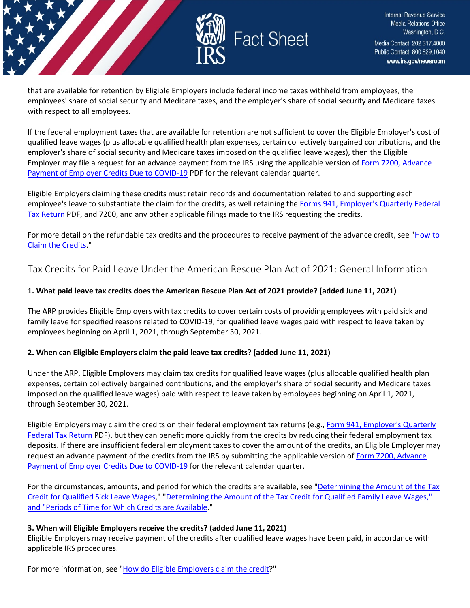

that are available for retention by Eligible Employers include federal income taxes withheld from employees, the employees' share of social security and Medicare taxes, and the employer's share of social security and Medicare taxes with respect to all employees.

If the federal employment taxes that are available for retention are not sufficient to cover the Eligible Employer's cost of qualified leave wages (plus allocable qualified health plan expenses, certain collectively bargained contributions, and the employer's share of social security and Medicare taxes imposed on the qualified leave wages), then the Eligible Employer may file a request for an advance payment from the IRS using the applicable version o[f Form 7200, Advance](https://www.irs.gov/pub/irs-pdf/f7200.pdf)  [Payment of Employer Credits Due to COVID-19](https://www.irs.gov/pub/irs-pdf/f7200.pdf) PDF for the relevant calendar quarter.

Eligible Employers claiming these credits must retain records and documentation related to and supporting each employee's leave to substantiate the claim for the credits, as well retaining th[e Forms 941, Employer's Quarterly Federal](https://www.irs.gov/pub/irs-pdf/f941.pdf)  [Tax Return](https://www.irs.gov/pub/irs-pdf/f941.pdf) PDF, and 7200, and any other applicable filings made to the IRS requesting the credits.

For more detail on the refundable tax credits and the procedures to receive payment of the advance credit, see "How to [Claim the Credits.](https://www.irs.gov/newsroom/tax-credits-for-paid-leave-under-the-american-rescue-plan-act-of-2021-how-to-claim-the-credits)"

## <span id="page-5-0"></span>Tax Credits for Paid Leave Under the American Rescue Plan Act of 2021: General Information

## **1. What paid leave tax credits does the American Rescue Plan Act of 2021 provide? (added June 11, 2021)**

The ARP provides Eligible Employers with tax credits to cover certain costs of providing employees with paid sick and family leave for specified reasons related to COVID-19, for qualified leave wages paid with respect to leave taken by employees beginning on April 1, 2021, through September 30, 2021.

#### **2. When can Eligible Employers claim the paid leave tax credits? (added June 11, 2021)**

Under the ARP, Eligible Employers may claim tax credits for qualified leave wages (plus allocable qualified health plan expenses, certain collectively bargained contributions, and the employer's share of social security and Medicare taxes imposed on the qualified leave wages) paid with respect to leave taken by employees beginning on April 1, 2021, through September 30, 2021.

Eligible Employers may claim the credits on their federal employment tax returns (e.g., [Form 941, Employer's Quarterly](https://www.irs.gov/pub/irs-pdf/f941.pdf)  [Federal Tax Return](https://www.irs.gov/pub/irs-pdf/f941.pdf) PDF), but they can benefit more quickly from the credits by reducing their federal employment tax deposits. If there are insufficient federal employment taxes to cover the amount of the credits, an Eligible Employer may request an advance payment of the credits from the IRS by submitting the applicable version of [Form 7200, Advance](https://www.irs.gov/forms-pubs/about-form-7200)  [Payment of Employer Credits Due to COVID-19](https://www.irs.gov/forms-pubs/about-form-7200) for the relevant calendar quarter.

For the circumstances, amounts, and period for which the credits are available, see "Determining the Amount of the Tax [Credit for Qualified Sick Leave Wages,](https://www.irs.gov/newsroom/tax-credits-for-paid-leave-under-the-american-rescue-plan-act-of-2021-determining-the-amount-of-the-tax-credit-for-qualified-sick-leave-wages)" ["Determining the Amount of the Tax Credit for Qualified Family Leave Wages,"](https://www.irs.gov/newsroom/tax-credits-for-paid-leave-under-the-american-rescue-plan-act-of-2021-determining-the-amount-of-the-tax-credit-for-qualified-family-leave-wages)  [and "Periods of Time for Which Credits are Available.](https://www.irs.gov/newsroom/tax-credits-for-paid-leave-under-the-american-rescue-plan-act-of-2021-determining-the-amount-of-the-tax-credit-for-qualified-family-leave-wages)"

#### **3. When will Eligible Employers receive the credits? (added June 11, 2021)**

Eligible Employers may receive payment of the credits after qualified leave wages have been paid, in accordance with applicable IRS procedures.

For more information, see ["How do Eligible Employers claim the credit?](https://www.irs.gov/newsroom/tax-credits-for-paid-leave-under-the-american-rescue-plan-act-of-2021-how-to-claim-the-credits)"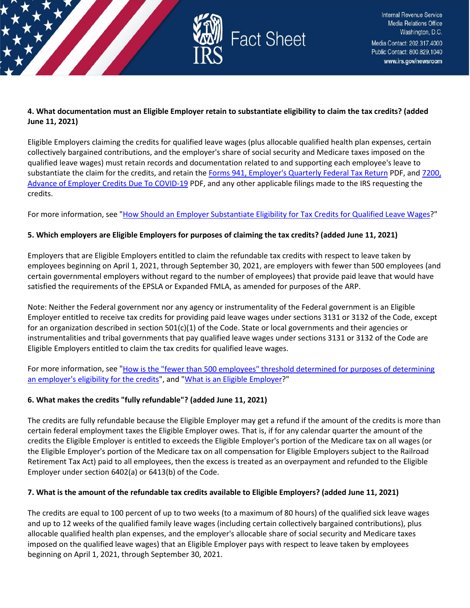

#### **4. What documentation must an Eligible Employer retain to substantiate eligibility to claim the tax credits? (added June 11, 2021)**

Eligible Employers claiming the credits for qualified leave wages (plus allocable qualified health plan expenses, certain collectively bargained contributions, and the employer's share of social security and Medicare taxes imposed on the qualified leave wages) must retain records and documentation related to and supporting each employee's leave to substantiate the claim for the credits, and retain the [Forms 941, Employer's Quarterly Federal Tax Return](https://www.irs.gov/pub/irs-pdf/f941.pdf) PDF, and [7200,](https://www.irs.gov/pub/irs-pdf/f7200.pdf)  [Advance of Employer Credits Due To COVID-19](https://www.irs.gov/pub/irs-pdf/f7200.pdf) PDF, and any other applicable filings made to the IRS requesting the credits.

For more information, see ["How Should an Employer Substantiate Eligibility for Tax Credits for Qualified Leave Wages?](https://www.irs.gov/newsroom/how-should-an-employer-substantiate-eligibility-for-tax-credits-for-qualified-leave-wages)"

## **5. Which employers are Eligible Employers for purposes of claiming the tax credits? (added June 11, 2021)**

Employers that are Eligible Employers entitled to claim the refundable tax credits with respect to leave taken by employees beginning on April 1, 2021, through September 30, 2021, are employers with fewer than 500 employees (and certain governmental employers without regard to the number of employees) that provide paid leave that would have satisfied the requirements of the EPSLA or Expanded FMLA, as amended for purposes of the ARP.

Note: Neither the Federal government nor any agency or instrumentality of the Federal government is an Eligible Employer entitled to receive tax credits for providing paid leave wages under sections 3131 or 3132 of the Code, except for an organization described in section  $501(c)(1)$  of the Code. State or local governments and their agencies or instrumentalities and tribal governments that pay qualified leave wages under sections 3131 or 3132 of the Code are Eligible Employers entitled to claim the tax credits for qualified leave wages.

For more information, see ["How is the "fewer than 500 employees" threshold determined for purposes of determining](https://www.irs.gov/newsroom/tax-credits-for-paid-leave-under-the-american-rescue-plan-act-of-2021-what-is-an-eligible-employer#fewerthan500employees)  [an employer's eligibility for the credits"](https://www.irs.gov/newsroom/tax-credits-for-paid-leave-under-the-american-rescue-plan-act-of-2021-what-is-an-eligible-employer#fewerthan500employees), and ["What is an Eligible Employer?](https://www.irs.gov/newsroom/tax-credits-for-paid-leave-under-the-american-rescue-plan-act-of-2021-what-is-an-eligible-employer)"

## **6. What makes the credits "fully refundable"? (added June 11, 2021)**

The credits are fully refundable because the Eligible Employer may get a refund if the amount of the credits is more than certain federal employment taxes the Eligible Employer owes. That is, if for any calendar quarter the amount of the credits the Eligible Employer is entitled to exceeds the Eligible Employer's portion of the Medicare tax on all wages (or the Eligible Employer's portion of the Medicare tax on all compensation for Eligible Employers subject to the Railroad Retirement Tax Act) paid to all employees, then the excess is treated as an overpayment and refunded to the Eligible Employer under section 6402(a) or 6413(b) of the Code.

## **7. What is the amount of the refundable tax credits available to Eligible Employers? (added June 11, 2021)**

The credits are equal to 100 percent of up to two weeks (to a maximum of 80 hours) of the qualified sick leave wages and up to 12 weeks of the qualified family leave wages (including certain collectively bargained contributions), plus allocable qualified health plan expenses, and the employer's allocable share of social security and Medicare taxes imposed on the qualified leave wages) that an Eligible Employer pays with respect to leave taken by employees beginning on April 1, 2021, through September 30, 2021.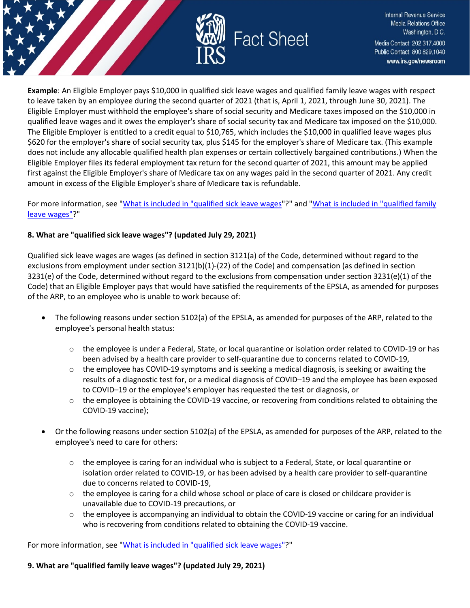

**Example**: An Eligible Employer pays \$10,000 in qualified sick leave wages and qualified family leave wages with respect to leave taken by an employee during the second quarter of 2021 (that is, April 1, 2021, through June 30, 2021). The Eligible Employer must withhold the employee's share of social security and Medicare taxes imposed on the \$10,000 in qualified leave wages and it owes the employer's share of social security tax and Medicare tax imposed on the \$10,000. The Eligible Employer is entitled to a credit equal to \$10,765, which includes the \$10,000 in qualified leave wages plus \$620 for the employer's share of social security tax, plus \$145 for the employer's share of Medicare tax. (This example does not include any allocable qualified health plan expenses or certain collectively bargained contributions.) When the Eligible Employer files its federal employment tax return for the second quarter of 2021, this amount may be applied first against the Eligible Employer's share of Medicare tax on any wages paid in the second quarter of 2021. Any credit amount in excess of the Eligible Employer's share of Medicare tax is refundable.

For more information, see ["What is included in "qualified sick leave wages"](https://www.irs.gov/newsroom/tax-credits-for-paid-leave-under-the-american-rescue-plan-act-of-2021-determining-the-amount-of-the-tax-credit-for-qualified-sick-leave-wages#faq25)?" and "What is included in "qualified family [leave wages"?](https://www.irs.gov/newsroom/tax-credits-for-paid-leave-under-the-american-rescue-plan-act-of-2021-determining-the-amount-of-the-tax-credit-for-qualified-family-leave-wages#faq36)"

## **8. What are "qualified sick leave wages"? (updated July 29, 2021)**

Qualified sick leave wages are wages (as defined in section 3121(a) of the Code, determined without regard to the exclusions from employment under section 3121(b)(1)-(22) of the Code) and compensation (as defined in section 3231(e) of the Code, determined without regard to the exclusions from compensation under section 3231(e)(1) of the Code) that an Eligible Employer pays that would have satisfied the requirements of the EPSLA, as amended for purposes of the ARP, to an employee who is unable to work because of:

- The following reasons under section 5102(a) of the EPSLA, as amended for purposes of the ARP, related to the employee's personal health status:
	- $\circ$  the employee is under a Federal, State, or local quarantine or isolation order related to COVID-19 or has been advised by a health care provider to self-quarantine due to concerns related to COVID-19,
	- $\circ$  the employee has COVID-19 symptoms and is seeking a medical diagnosis, is seeking or awaiting the results of a diagnostic test for, or a medical diagnosis of COVID–19 and the employee has been exposed to COVID–19 or the employee's employer has requested the test or diagnosis, or
	- $\circ$  the employee is obtaining the COVID-19 vaccine, or recovering from conditions related to obtaining the COVID-19 vaccine);
- Or the following reasons under section 5102(a) of the EPSLA, as amended for purposes of the ARP, related to the employee's need to care for others:
	- $\circ$  the employee is caring for an individual who is subject to a Federal, State, or local quarantine or isolation order related to COVID-19, or has been advised by a health care provider to self-quarantine due to concerns related to COVID-19,
	- $\circ$  the employee is caring for a child whose school or place of care is closed or childcare provider is unavailable due to COVID-19 precautions, or
	- $\circ$  the employee is accompanying an individual to obtain the COVID-19 vaccine or caring for an individual who is recovering from conditions related to obtaining the COVID-19 vaccine.

For more information, see "What is included in ["qualified sick leave wages"?](https://www.irs.gov/newsroom/tax-credits-for-paid-leave-under-the-american-rescue-plan-act-of-2021-determining-the-amount-of-the-tax-credit-for-qualified-sick-leave-wages#faq25)"

**9. What are "qualified family leave wages"? (updated July 29, 2021)**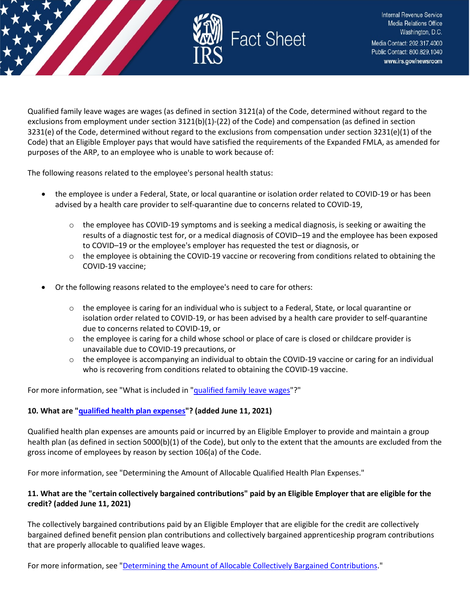

Qualified family leave wages are wages (as defined in section 3121(a) of the Code, determined without regard to the exclusions from employment under section 3121(b)(1)-(22) of the Code) and compensation (as defined in section 3231(e) of the Code, determined without regard to the exclusions from compensation under section 3231(e)(1) of the Code) that an Eligible Employer pays that would have satisfied the requirements of the Expanded FMLA, as amended for purposes of the ARP, to an employee who is unable to work because of:

The following reasons related to the employee's personal health status:

- the employee is under a Federal, State, or local quarantine or isolation order related to COVID-19 or has been advised by a health care provider to self-quarantine due to concerns related to COVID-19,
	- o the employee has COVID-19 symptoms and is seeking a medical diagnosis, is seeking or awaiting the results of a diagnostic test for, or a medical diagnosis of COVID–19 and the employee has been exposed to COVID–19 or the employee's employer has requested the test or diagnosis, or
	- $\circ$  the employee is obtaining the COVID-19 vaccine or recovering from conditions related to obtaining the COVID-19 vaccine;
- Or the following reasons related to the employee's need to care for others:
	- $\circ$  the employee is caring for an individual who is subject to a Federal, State, or local quarantine or isolation order related to COVID-19, or has been advised by a health care provider to self-quarantine due to concerns related to COVID-19, or
	- $\circ$  the employee is caring for a child whose school or place of care is closed or childcare provider is unavailable due to COVID-19 precautions, or
	- $\circ$  the employee is accompanying an individual to obtain the COVID-19 vaccine or caring for an individual who is recovering from conditions related to obtaining the COVID-19 vaccine.

For more information, see "What is included in ["qualified family leave wages"](https://www.irs.gov/newsroom/tax-credits-for-paid-leave-under-the-american-rescue-plan-act-of-2021-determining-the-amount-of-the-tax-credit-for-qualified-family-leave-wages#faq36)?"

## **10. What are ["qualified health plan expenses"](https://www.irs.gov/newsroom/covid-19-related-tax-credits-for-required-paid-leave-provided-by-small-and-midsize-businesses-faqs#collapseCollapsible1585691612632)? (added June 11, 2021)**

Qualified health plan expenses are amounts paid or incurred by an Eligible Employer to provide and maintain a group health plan (as defined in section 5000(b)(1) of the Code), but only to the extent that the amounts are excluded from the gross income of employees by reason by section 106(a) of the Code.

For more information, see "Determining the Amount of Allocable Qualified Health Plan Expenses."

## **11. What are the "certain collectively bargained contributions" paid by an Eligible Employer that are eligible for the credit? (added June 11, 2021)**

The collectively bargained contributions paid by an Eligible Employer that are eligible for the credit are collectively bargained defined benefit pension plan contributions and collectively bargained apprenticeship program contributions that are properly allocable to qualified leave wages.

For more information, see ["Determining the Amount of Allocable Collectively Bargained Contributions.](https://www.irs.gov/newsroom/tax-credits-for-paid-leave-under-the-american-rescue-plan-act-of-2021-determining-the-amount-of-allocable-collectively-bargained-contributions)"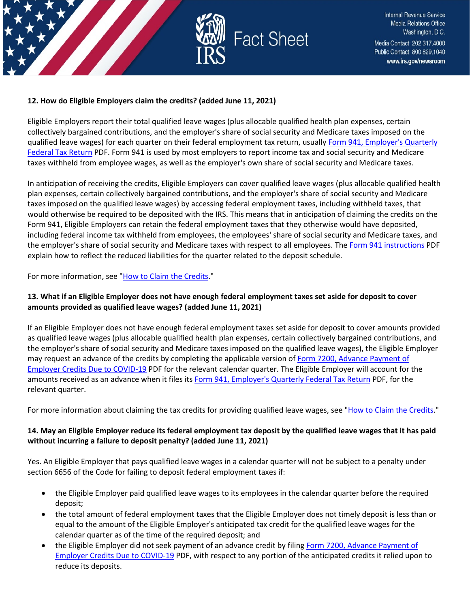

#### **12. How do Eligible Employers claim the credits? (added June 11, 2021)**

Eligible Employers report their total qualified leave wages (plus allocable qualified health plan expenses, certain collectively bargained contributions, and the employer's share of social security and Medicare taxes imposed on the qualified leave wages) for each quarter on their federal employment tax return, usually Form 941, Employer's Quarterly [Federal Tax Return](https://www.irs.gov/pub/irs-pdf/f941.pdf) PDF. Form 941 is used by most employers to report income tax and social security and Medicare taxes withheld from employee wages, as well as the employer's own share of social security and Medicare taxes.

In anticipation of receiving the credits, Eligible Employers can cover qualified leave wages (plus allocable qualified health plan expenses, certain collectively bargained contributions, and the employer's share of social security and Medicare taxes imposed on the qualified leave wages) by accessing federal employment taxes, including withheld taxes, that would otherwise be required to be deposited with the IRS. This means that in anticipation of claiming the credits on the Form 941, Eligible Employers can retain the federal employment taxes that they otherwise would have deposited, including federal income tax withheld from employees, the employees' share of social security and Medicare taxes, and the employer's share of social security and Medicare taxes with respect to all employees. The [Form 941 instructions](https://www.irs.gov/pub/irs-pdf/i941.pdf) PDF explain how to reflect the reduced liabilities for the quarter related to the deposit schedule.

For more information, see ["How to Claim the Credits.](https://www.irs.gov/newsroom/tax-credits-for-paid-leave-under-the-american-rescue-plan-act-of-2021-how-to-claim-the-credits)"

## **13. What if an Eligible Employer does not have enough federal employment taxes set aside for deposit to cover amounts provided as qualified leave wages? (added June 11, 2021)**

If an Eligible Employer does not have enough federal employment taxes set aside for deposit to cover amounts provided as qualified leave wages (plus allocable qualified health plan expenses, certain collectively bargained contributions, and the employer's share of social security and Medicare taxes imposed on the qualified leave wages), the Eligible Employer may request an advance of the credits by completing the applicable version of Form 7200, Advance Payment of [Employer Credits Due to COVID-19](https://www.irs.gov/pub/irs-pdf/f7200.pdf) PDF for the relevant calendar quarter. The Eligible Employer will account for the amounts received as an advance when it files it[s Form 941, Employer's Quarterly Federal Tax Return](https://www.irs.gov/pub/irs-pdf/f941.pdf) PDF, for the relevant quarter.

For more information about claiming the tax credits for providing qualified leave wages, see ["How to Claim the Credits.](https://www.irs.gov/newsroom/tax-credits-for-paid-leave-under-the-american-rescue-plan-act-of-2021-how-to-claim-the-credits)"

## **14. May an Eligible Employer reduce its federal employment tax deposit by the qualified leave wages that it has paid without incurring a failure to deposit penalty? (added June 11, 2021)**

Yes. An Eligible Employer that pays qualified leave wages in a calendar quarter will not be subject to a penalty under section 6656 of the Code for failing to deposit federal employment taxes if:

- the Eligible Employer paid qualified leave wages to its employees in the calendar quarter before the required deposit;
- the total amount of federal employment taxes that the Eligible Employer does not timely deposit is less than or equal to the amount of the Eligible Employer's anticipated tax credit for the qualified leave wages for the calendar quarter as of the time of the required deposit; and
- the Eligible Employer did not seek payment of an advance credit by filing Form 7200, Advance Payment of [Employer Credits Due to COVID-19](https://www.irs.gov/pub/irs-pdf/f7200.pdf) PDF, with respect to any portion of the anticipated credits it relied upon to reduce its deposits.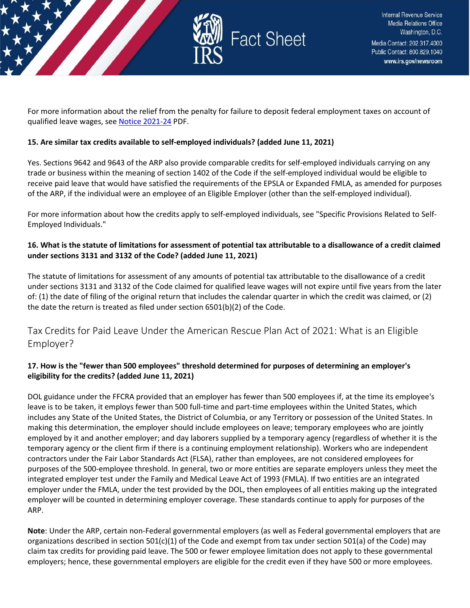

For more information about the relief from the penalty for failure to deposit federal employment taxes on account of qualified leave wages, se[e Notice 2021-24](https://www.irs.gov/pub/irs-drop/n-21-24.pdf) PDF.

#### **15. Are similar tax credits available to self-employed individuals? (added June 11, 2021)**

Yes. Sections 9642 and 9643 of the ARP also provide comparable credits for self-employed individuals carrying on any trade or business within the meaning of section 1402 of the Code if the self-employed individual would be eligible to receive paid leave that would have satisfied the requirements of the EPSLA or Expanded FMLA, as amended for purposes of the ARP, if the individual were an employee of an Eligible Employer (other than the self-employed individual).

For more information about how the credits apply to self-employed individuals, see "Specific Provisions Related to Self-Employed Individuals."

## **16. What is the statute of limitations for assessment of potential tax attributable to a disallowance of a credit claimed under sections 3131 and 3132 of the Code? (added June 11, 2021)**

The statute of limitations for assessment of any amounts of potential tax attributable to the disallowance of a credit under sections 3131 and 3132 of the Code claimed for qualified leave wages will not expire until five years from the later of: (1) the date of filing of the original return that includes the calendar quarter in which the credit was claimed, or (2) the date the return is treated as filed under section 6501(b)(2) of the Code.

## <span id="page-10-0"></span>Tax Credits for Paid Leave Under the American Rescue Plan Act of 2021: What is an Eligible Employer?

## **17. How is the "fewer than 500 employees" threshold determined for purposes of determining an employer's eligibility for the credits? (added June 11, 2021)**

DOL guidance under the FFCRA provided that an employer has fewer than 500 employees if, at the time its employee's leave is to be taken, it employs fewer than 500 full-time and part-time employees within the United States, which includes any State of the United States, the District of Columbia, or any Territory or possession of the United States. In making this determination, the employer should include employees on leave; temporary employees who are jointly employed by it and another employer; and day laborers supplied by a temporary agency (regardless of whether it is the temporary agency or the client firm if there is a continuing employment relationship). Workers who are independent contractors under the Fair Labor Standards Act (FLSA), rather than employees, are not considered employees for purposes of the 500-employee threshold. In general, two or more entities are separate employers unless they meet the integrated employer test under the Family and Medical Leave Act of 1993 (FMLA). If two entities are an integrated employer under the FMLA, under the test provided by the DOL, then employees of all entities making up the integrated employer will be counted in determining employer coverage. These standards continue to apply for purposes of the ARP.

**Note**: Under the ARP, certain non-Federal governmental employers (as well as Federal governmental employers that are organizations described in section 501(c)(1) of the Code and exempt from tax under section 501(a) of the Code) may claim tax credits for providing paid leave. The 500 or fewer employee limitation does not apply to these governmental employers; hence, these governmental employers are eligible for the credit even if they have 500 or more employees.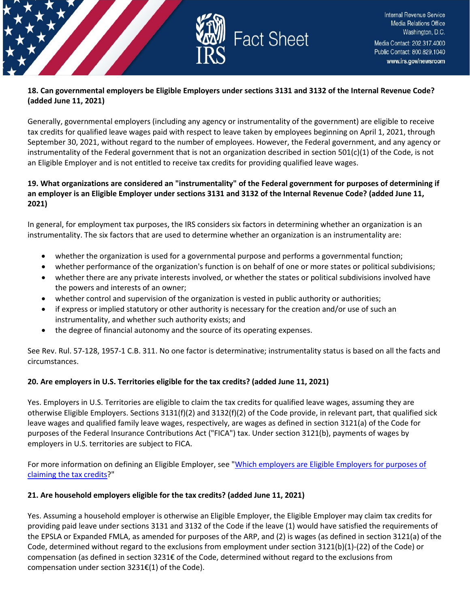

#### **18. Can governmental employers be Eligible Employers under sections 3131 and 3132 of the Internal Revenue Code? (added June 11, 2021)**

Generally, governmental employers (including any agency or instrumentality of the government) are eligible to receive tax credits for qualified leave wages paid with respect to leave taken by employees beginning on April 1, 2021, through September 30, 2021, without regard to the number of employees. However, the Federal government, and any agency or instrumentality of the Federal government that is not an organization described in section 501(c)(1) of the Code, is not an Eligible Employer and is not entitled to receive tax credits for providing qualified leave wages.

#### **19. What organizations are considered an "instrumentality" of the Federal government for purposes of determining if an employer is an Eligible Employer under sections 3131 and 3132 of the Internal Revenue Code? (added June 11, 2021)**

In general, for employment tax purposes, the IRS considers six factors in determining whether an organization is an instrumentality. The six factors that are used to determine whether an organization is an instrumentality are:

- whether the organization is used for a governmental purpose and performs a governmental function;
- whether performance of the organization's function is on behalf of one or more states or political subdivisions;
- whether there are any private interests involved, or whether the states or political subdivisions involved have the powers and interests of an owner;
- whether control and supervision of the organization is vested in public authority or authorities;
- if express or implied statutory or other authority is necessary for the creation and/or use of such an instrumentality, and whether such authority exists; and
- the degree of financial autonomy and the source of its operating expenses.

See Rev. Rul. 57-128, 1957-1 C.B. 311. No one factor is determinative; instrumentality status is based on all the facts and circumstances.

#### **20. Are employers in U.S. Territories eligible for the tax credits? (added June 11, 2021)**

Yes. Employers in U.S. Territories are eligible to claim the tax credits for qualified leave wages, assuming they are otherwise Eligible Employers. Sections 3131(f)(2) and 3132(f)(2) of the Code provide, in relevant part, that qualified sick leave wages and qualified family leave wages, respectively, are wages as defined in section 3121(a) of the Code for purposes of the Federal Insurance Contributions Act ("FICA") tax. Under section 3121(b), payments of wages by employers in U.S. territories are subject to FICA.

For more information on defining an Eligible Employer, see "Which employers are Eligible Employers for purposes of [claiming the tax credits?](https://www.irs.gov/node/95786#employerseligibleemployers)"

#### **21. Are household employers eligible for the tax credits? (added June 11, 2021)**

Yes. Assuming a household employer is otherwise an Eligible Employer, the Eligible Employer may claim tax credits for providing paid leave under sections 3131 and 3132 of the Code if the leave (1) would have satisfied the requirements of the EPSLA or Expanded FMLA, as amended for purposes of the ARP, and (2) is wages (as defined in section 3121(a) of the Code, determined without regard to the exclusions from employment under section 3121(b)(1)-(22) of the Code) or compensation (as defined in section 3231€ of the Code, determined without regard to the exclusions from compensation under section 3231€(1) of the Code).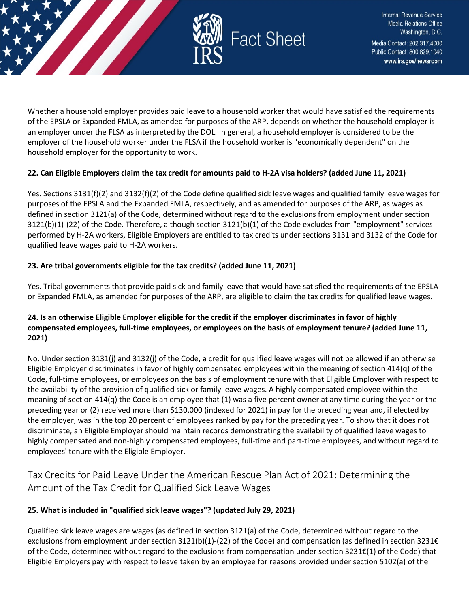

Whether a household employer provides paid leave to a household worker that would have satisfied the requirements of the EPSLA or Expanded FMLA, as amended for purposes of the ARP, depends on whether the household employer is an employer under the FLSA as interpreted by the DOL. In general, a household employer is considered to be the employer of the household worker under the FLSA if the household worker is "economically dependent" on the household employer for the opportunity to work.

#### **22. Can Eligible Employers claim the tax credit for amounts paid to H-2A visa holders? (added June 11, 2021)**

Yes. Sections 3131(f)(2) and 3132(f)(2) of the Code define qualified sick leave wages and qualified family leave wages for purposes of the EPSLA and the Expanded FMLA, respectively, and as amended for purposes of the ARP, as wages as defined in section 3121(a) of the Code, determined without regard to the exclusions from employment under section 3121(b)(1)-(22) of the Code. Therefore, although section 3121(b)(1) of the Code excludes from "employment" services performed by H-2A workers, Eligible Employers are entitled to tax credits under sections 3131 and 3132 of the Code for qualified leave wages paid to H-2A workers.

## **23. Are tribal governments eligible for the tax credits? (added June 11, 2021)**

Yes. Tribal governments that provide paid sick and family leave that would have satisfied the requirements of the EPSLA or Expanded FMLA, as amended for purposes of the ARP, are eligible to claim the tax credits for qualified leave wages.

## **24. Is an otherwise Eligible Employer eligible for the credit if the employer discriminates in favor of highly compensated employees, full-time employees, or employees on the basis of employment tenure? (added June 11, 2021)**

No. Under section 3131(j) and 3132(j) of the Code, a credit for qualified leave wages will not be allowed if an otherwise Eligible Employer discriminates in favor of highly compensated employees within the meaning of section 414(q) of the Code, full-time employees, or employees on the basis of employment tenure with that Eligible Employer with respect to the availability of the provision of qualified sick or family leave wages. A highly compensated employee within the meaning of section 414(q) the Code is an employee that (1) was a five percent owner at any time during the year or the preceding year or (2) received more than \$130,000 (indexed for 2021) in pay for the preceding year and, if elected by the employer, was in the top 20 percent of employees ranked by pay for the preceding year. To show that it does not discriminate, an Eligible Employer should maintain records demonstrating the availability of qualified leave wages to highly compensated and non-highly compensated employees, full-time and part-time employees, and without regard to employees' tenure with the Eligible Employer.

<span id="page-12-0"></span>Tax Credits for Paid Leave Under the American Rescue Plan Act of 2021: Determining the Amount of the Tax Credit for Qualified Sick Leave Wages

#### **25. What is included in "qualified sick leave wages"? (updated July 29, 2021)**

Qualified sick leave wages are wages (as defined in section 3121(a) of the Code, determined without regard to the exclusions from employment under section 3121(b)(1)-(22) of the Code) and compensation (as defined in section 3231€ of the Code, determined without regard to the exclusions from compensation under section 3231€(1) of the Code) that Eligible Employers pay with respect to leave taken by an employee for reasons provided under section 5102(a) of the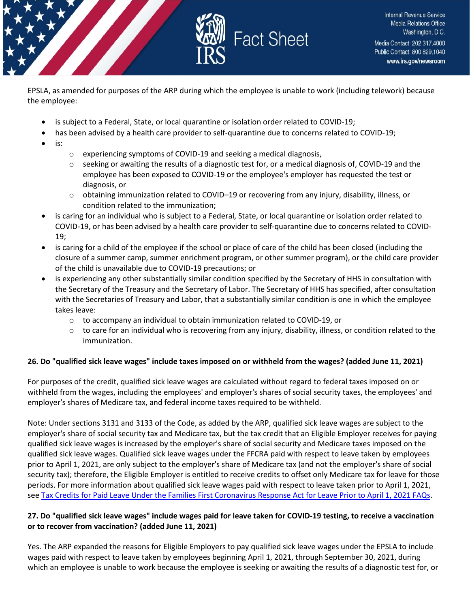

EPSLA, as amended for purposes of the ARP during which the employee is unable to work (including telework) because the employee:

- is subject to a Federal, State, or local quarantine or isolation order related to COVID-19;
- has been advised by a health care provider to self-quarantine due to concerns related to COVID-19;
- is:
- $\circ$  experiencing symptoms of COVID-19 and seeking a medical diagnosis,
- $\circ$  seeking or awaiting the results of a diagnostic test for, or a medical diagnosis of, COVID-19 and the employee has been exposed to COVID-19 or the employee's employer has requested the test or diagnosis, or
- $\circ$  obtaining immunization related to COVID–19 or recovering from any injury, disability, illness, or condition related to the immunization;
- is caring for an individual who is subject to a Federal, State, or local quarantine or isolation order related to COVID-19, or has been advised by a health care provider to self-quarantine due to concerns related to COVID-19;
- is caring for a child of the employee if the school or place of care of the child has been closed (including the closure of a summer camp, summer enrichment program, or other summer program), or the child care provider of the child is unavailable due to COVID-19 precautions; or
- is experiencing any other substantially similar condition specified by the Secretary of HHS in consultation with the Secretary of the Treasury and the Secretary of Labor. The Secretary of HHS has specified, after consultation with the Secretaries of Treasury and Labor, that a substantially similar condition is one in which the employee takes leave:
	- o to accompany an individual to obtain immunization related to COVID-19, or
	- $\circ$  to care for an individual who is recovering from any injury, disability, illness, or condition related to the immunization.

## **26. Do "qualified sick leave wages" include taxes imposed on or withheld from the wages? (added June 11, 2021)**

For purposes of the credit, qualified sick leave wages are calculated without regard to federal taxes imposed on or withheld from the wages, including the employees' and employer's shares of social security taxes, the employees' and employer's shares of Medicare tax, and federal income taxes required to be withheld.

Note: Under sections 3131 and 3133 of the Code, as added by the ARP, qualified sick leave wages are subject to the employer's share of social security tax and Medicare tax, but the tax credit that an Eligible Employer receives for paying qualified sick leave wages is increased by the employer's share of social security and Medicare taxes imposed on the qualified sick leave wages. Qualified sick leave wages under the FFCRA paid with respect to leave taken by employees prior to April 1, 2021, are only subject to the employer's share of Medicare tax (and not the employer's share of social security tax); therefore, the Eligible Employer is entitled to receive credits to offset only Medicare tax for leave for those periods. For more information about qualified sick leave wages paid with respect to leave taken prior to April 1, 2021, see Tax Credits for Paid Leave Under the [Families First Coronavirus Response Act for Leave Prior to April 1, 2021 FAQs.](https://www.irs.gov/newsroom/tax-credits-for-paid-leave-under-the-families-first-coronavirus-response-act-for-leave-prior-to-april-1-2021)

## **27. Do "qualified sick leave wages" include wages paid for leave taken for COVID-19 testing, to receive a vaccination or to recover from vaccination? (added June 11, 2021)**

Yes. The ARP expanded the reasons for Eligible Employers to pay qualified sick leave wages under the EPSLA to include wages paid with respect to leave taken by employees beginning April 1, 2021, through September 30, 2021, during which an employee is unable to work because the employee is seeking or awaiting the results of a diagnostic test for, or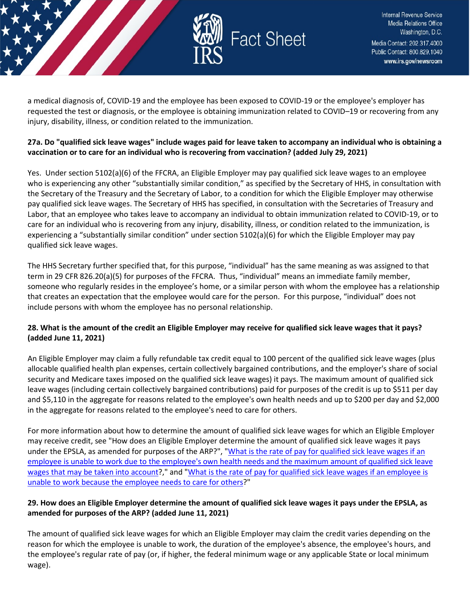

a medical diagnosis of, COVID-19 and the employee has been exposed to COVID-19 or the employee's employer has requested the test or diagnosis, or the employee is obtaining immunization related to COVID–19 or recovering from any injury, disability, illness, or condition related to the immunization.

#### **27a. Do "qualified sick leave wages" include wages paid for leave taken to accompany an individual who is obtaining a vaccination or to care for an individual who is recovering from vaccination? (added July 29, 2021)**

Yes. Under section 5102(a)(6) of the FFCRA, an Eligible Employer may pay qualified sick leave wages to an employee who is experiencing any other "substantially similar condition," as specified by the Secretary of HHS, in consultation with the Secretary of the Treasury and the Secretary of Labor, to a condition for which the Eligible Employer may otherwise pay qualified sick leave wages. The Secretary of HHS has specified, in consultation with the Secretaries of Treasury and Labor, that an employee who takes leave to accompany an individual to obtain immunization related to COVID-19, or to care for an individual who is recovering from any injury, disability, illness, or condition related to the immunization, is experiencing a "substantially similar condition" under section 5102(a)(6) for which the Eligible Employer may pay qualified sick leave wages.

The HHS Secretary further specified that, for this purpose, "individual" has the same meaning as was assigned to that term in 29 CFR 826.20(a)(5) for purposes of the FFCRA. Thus, "individual" means an immediate family member, someone who regularly resides in the employee's home, or a similar person with whom the employee has a relationship that creates an expectation that the employee would care for the person. For this purpose, "individual" does not include persons with whom the employee has no personal relationship.

## **28. What is the amount of the credit an Eligible Employer may receive for qualified sick leave wages that it pays? (added June 11, 2021)**

An Eligible Employer may claim a fully refundable tax credit equal to 100 percent of the qualified sick leave wages (plus allocable qualified health plan expenses, certain collectively bargained contributions, and the employer's share of social security and Medicare taxes imposed on the qualified sick leave wages) it pays. The maximum amount of qualified sick leave wages (including certain collectively bargained contributions) paid for purposes of the credit is up to \$511 per day and \$5,110 in the aggregate for reasons related to the employee's own health needs and up to \$200 per day and \$2,000 in the aggregate for reasons related to the employee's need to care for others.

For more information about how to determine the amount of qualified sick leave wages for which an Eligible Employer may receive credit, see "How does an Eligible Employer determine the amount of qualified sick leave wages it pays under the EPSLA, as amended for purposes of the ARP?", "What is the rate of pay for qualified sick leave wages if an [employee is unable to work due to the employee's own health needs and the maximum amount of qualified sick leave](https://www.irs.gov/newsroom/tax-credits-for-paid-leave-under-the-american-rescue-plan-act-of-2021-determining-the-amount-of-the-tax-credit-for-qualified-sick-leave-wages#30)  [wages that may be taken into account?](https://www.irs.gov/newsroom/tax-credits-for-paid-leave-under-the-american-rescue-plan-act-of-2021-determining-the-amount-of-the-tax-credit-for-qualified-sick-leave-wages#30)," and "What is the rate of pay for qualified sick leave wages if an employee is [unable to work because the employee needs to care for others?](https://www.irs.gov/newsroom/tax-credits-for-paid-leave-under-the-american-rescue-plan-act-of-2021-determining-the-amount-of-the-tax-credit-for-qualified-sick-leave-wages#31)"

## **29. How does an Eligible Employer determine the amount of qualified sick leave wages it pays under the EPSLA, as amended for purposes of the ARP? (added June 11, 2021)**

The amount of qualified sick leave wages for which an Eligible Employer may claim the credit varies depending on the reason for which the employee is unable to work, the duration of the employee's absence, the employee's hours, and the employee's regular rate of pay (or, if higher, the federal minimum wage or any applicable State or local minimum wage).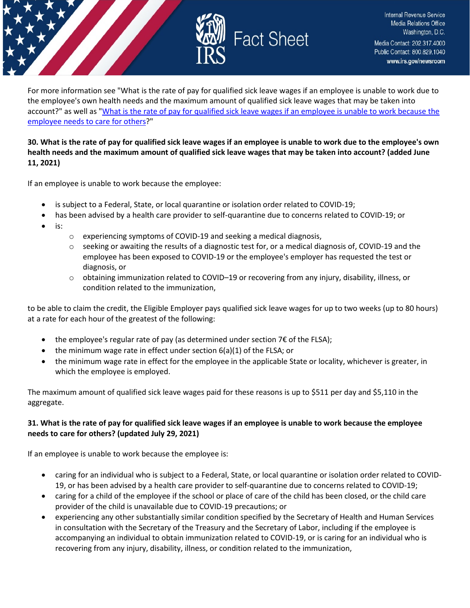

For more information see "What is the rate of pay for qualified sick leave wages if an employee is unable to work due to the employee's own health needs and the maximum amount of qualified sick leave wages that may be taken into account?" as well as ["What is the rate of pay for qualified sick leave wages if an employee is unable to work because the](https://www.irs.gov/newsroom/tax-credits-for-paid-leave-under-the-american-rescue-plan-act-of-2021-determining-the-amount-of-the-tax-credit-for-qualified-sick-leave-wages#31)  [employee needs to care for others?](https://www.irs.gov/newsroom/tax-credits-for-paid-leave-under-the-american-rescue-plan-act-of-2021-determining-the-amount-of-the-tax-credit-for-qualified-sick-leave-wages#31)"

#### **30. What is the rate of pay for qualified sick leave wages if an employee is unable to work due to the employee's own health needs and the maximum amount of qualified sick leave wages that may be taken into account? (added June 11, 2021)**

If an employee is unable to work because the employee:

- is subject to a Federal, State, or local quarantine or isolation order related to COVID-19;
- has been advised by a health care provider to self-quarantine due to concerns related to COVID-19; or
- is:
- o experiencing symptoms of COVID-19 and seeking a medical diagnosis,
- $\circ$  seeking or awaiting the results of a diagnostic test for, or a medical diagnosis of, COVID-19 and the employee has been exposed to COVID-19 or the employee's employer has requested the test or diagnosis, or
- o obtaining immunization related to COVID–19 or recovering from any injury, disability, illness, or condition related to the immunization,

to be able to claim the credit, the Eligible Employer pays qualified sick leave wages for up to two weeks (up to 80 hours) at a rate for each hour of the greatest of the following:

- the employee's regular rate of pay (as determined under section  $7 \epsilon$  of the FLSA);
- the minimum wage rate in effect under section  $6(a)(1)$  of the FLSA; or
- the minimum wage rate in effect for the employee in the applicable State or locality, whichever is greater, in which the employee is employed.

The maximum amount of qualified sick leave wages paid for these reasons is up to \$511 per day and \$5,110 in the aggregate.

#### **31. What is the rate of pay for qualified sick leave wages if an employee is unable to work because the employee needs to care for others? (updated July 29, 2021)**

If an employee is unable to work because the employee is:

- caring for an individual who is subject to a Federal, State, or local quarantine or isolation order related to COVID-19, or has been advised by a health care provider to self-quarantine due to concerns related to COVID-19;
- caring for a child of the employee if the school or place of care of the child has been closed, or the child care provider of the child is unavailable due to COVID-19 precautions; or
- experiencing any other substantially similar condition specified by the Secretary of Health and Human Services in consultation with the Secretary of the Treasury and the Secretary of Labor, including if the employee is accompanying an individual to obtain immunization related to COVID-19, or is caring for an individual who is recovering from any injury, disability, illness, or condition related to the immunization,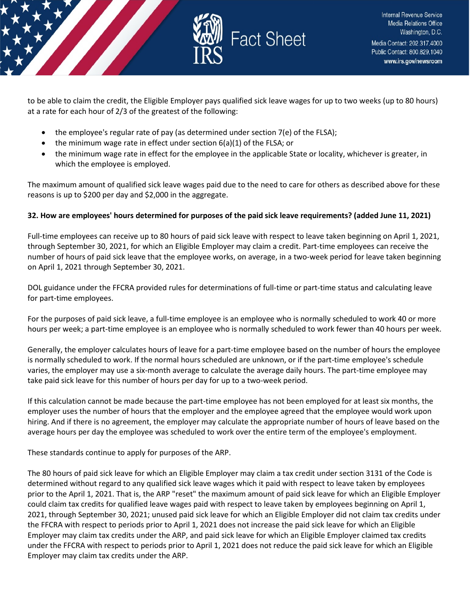

to be able to claim the credit, the Eligible Employer pays qualified sick leave wages for up to two weeks (up to 80 hours) at a rate for each hour of 2/3 of the greatest of the following:

- the employee's regular rate of pay (as determined under section 7(e) of the FLSA);
- the minimum wage rate in effect under section 6(a)(1) of the FLSA; or
- the minimum wage rate in effect for the employee in the applicable State or locality, whichever is greater, in which the employee is employed.

The maximum amount of qualified sick leave wages paid due to the need to care for others as described above for these reasons is up to \$200 per day and \$2,000 in the aggregate.

## **32. How are employees' hours determined for purposes of the paid sick leave requirements? (added June 11, 2021)**

Full-time employees can receive up to 80 hours of paid sick leave with respect to leave taken beginning on April 1, 2021, through September 30, 2021, for which an Eligible Employer may claim a credit. Part-time employees can receive the number of hours of paid sick leave that the employee works, on average, in a two-week period for leave taken beginning on April 1, 2021 through September 30, 2021.

DOL guidance under the FFCRA provided rules for determinations of full-time or part-time status and calculating leave for part-time employees.

For the purposes of paid sick leave, a full-time employee is an employee who is normally scheduled to work 40 or more hours per week; a part-time employee is an employee who is normally scheduled to work fewer than 40 hours per week.

Generally, the employer calculates hours of leave for a part-time employee based on the number of hours the employee is normally scheduled to work. If the normal hours scheduled are unknown, or if the part-time employee's schedule varies, the employer may use a six-month average to calculate the average daily hours. The part-time employee may take paid sick leave for this number of hours per day for up to a two-week period.

If this calculation cannot be made because the part-time employee has not been employed for at least six months, the employer uses the number of hours that the employer and the employee agreed that the employee would work upon hiring. And if there is no agreement, the employer may calculate the appropriate number of hours of leave based on the average hours per day the employee was scheduled to work over the entire term of the employee's employment.

These standards continue to apply for purposes of the ARP.

The 80 hours of paid sick leave for which an Eligible Employer may claim a tax credit under section 3131 of the Code is determined without regard to any qualified sick leave wages which it paid with respect to leave taken by employees prior to the April 1, 2021. That is, the ARP "reset" the maximum amount of paid sick leave for which an Eligible Employer could claim tax credits for qualified leave wages paid with respect to leave taken by employees beginning on April 1, 2021, through September 30, 2021; unused paid sick leave for which an Eligible Employer did not claim tax credits under the FFCRA with respect to periods prior to April 1, 2021 does not increase the paid sick leave for which an Eligible Employer may claim tax credits under the ARP, and paid sick leave for which an Eligible Employer claimed tax credits under the FFCRA with respect to periods prior to April 1, 2021 does not reduce the paid sick leave for which an Eligible Employer may claim tax credits under the ARP.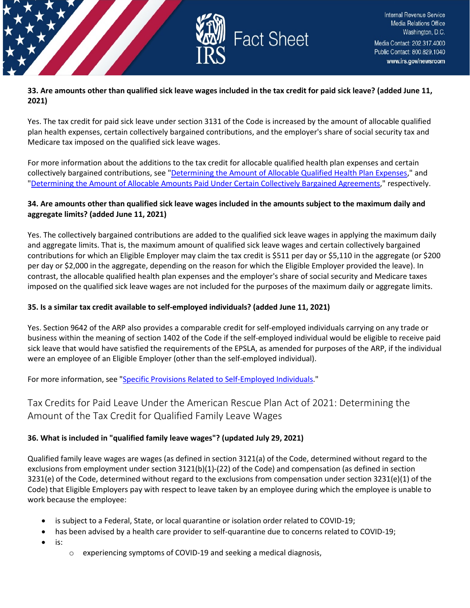

#### **33. Are amounts other than qualified sick leave wages included in the tax credit for paid sick leave? (added June 11, 2021)**

Yes. The tax credit for paid sick leave under section 3131 of the Code is increased by the amount of allocable qualified plan health expenses, certain collectively bargained contributions, and the employer's share of social security tax and Medicare tax imposed on the qualified sick leave wages.

For more information about the additions to the tax credit for allocable qualified health plan expenses and certain collectively bargained contributions, see ["Determining the Amount of Allocable Qualified Health Plan Expenses,](https://www.irs.gov/newsroom/tax-credits-for-paid-leave-under-the-american-rescue-plan-act-of-2021-determining-the-amount-of-allocable-qualified-health-plan-expenses)" and ["Determining the Amount of Allocable Amounts Paid Under Certain Collectively Bargained Agreements,](https://www.irs.gov/newsroom/tax-credits-for-paid-leave-under-the-american-rescue-plan-act-of-2021-determining-the-amount-of-allocable-collectively-bargained-contributions)" respectively.

#### **34. Are amounts other than qualified sick leave wages included in the amounts subject to the maximum daily and aggregate limits? (added June 11, 2021)**

Yes. The collectively bargained contributions are added to the qualified sick leave wages in applying the maximum daily and aggregate limits. That is, the maximum amount of qualified sick leave wages and certain collectively bargained contributions for which an Eligible Employer may claim the tax credit is \$511 per day or \$5,110 in the aggregate (or \$200 per day or \$2,000 in the aggregate, depending on the reason for which the Eligible Employer provided the leave). In contrast, the allocable qualified health plan expenses and the employer's share of social security and Medicare taxes imposed on the qualified sick leave wages are not included for the purposes of the maximum daily or aggregate limits.

#### **35. Is a similar tax credit available to self-employed individuals? (added June 11, 2021)**

Yes. Section 9642 of the ARP also provides a comparable credit for self-employed individuals carrying on any trade or business within the meaning of section 1402 of the Code if the self-employed individual would be eligible to receive paid sick leave that would have satisfied the requirements of the EPSLA, as amended for purposes of the ARP, if the individual were an employee of an Eligible Employer (other than the self-employed individual).

For more information, see ["Specific Provisions Related to Self-Employed Individuals.](https://www.irs.gov/newsroom/tax-credits-for-paid-leave-under-the-american-rescue-plan-act-of-2021-specific-provisions-related-to-self-employed-individuals)"

## <span id="page-17-0"></span>Tax Credits for Paid Leave Under the American Rescue Plan Act of 2021: Determining the Amount of the Tax Credit for Qualified Family Leave Wages

#### **36. What is included in "qualified family leave wages"? (updated July 29, 2021)**

Qualified family leave wages are wages (as defined in section 3121(a) of the Code, determined without regard to the exclusions from employment under section 3121(b)(1)-(22) of the Code) and compensation (as defined in section 3231(e) of the Code, determined without regard to the exclusions from compensation under section 3231(e)(1) of the Code) that Eligible Employers pay with respect to leave taken by an employee during which the employee is unable to work because the employee:

- is subject to a Federal, State, or local quarantine or isolation order related to COVID-19;
- has been advised by a health care provider to self-quarantine due to concerns related to COVID-19;
- is:
- o experiencing symptoms of COVID-19 and seeking a medical diagnosis,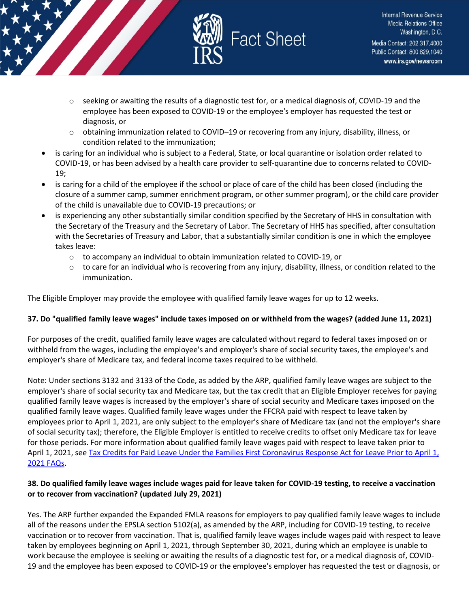

- $\circ$  seeking or awaiting the results of a diagnostic test for, or a medical diagnosis of, COVID-19 and the employee has been exposed to COVID-19 or the employee's employer has requested the test or diagnosis, or
- $\circ$  obtaining immunization related to COVID–19 or recovering from any injury, disability, illness, or condition related to the immunization;
- is caring for an individual who is subject to a Federal, State, or local quarantine or isolation order related to COVID-19, or has been advised by a health care provider to self-quarantine due to concerns related to COVID-19;
- is caring for a child of the employee if the school or place of care of the child has been closed (including the closure of a summer camp, summer enrichment program, or other summer program), or the child care provider of the child is unavailable due to COVID-19 precautions; or
- is experiencing any other substantially similar condition specified by the Secretary of HHS in consultation with the Secretary of the Treasury and the Secretary of Labor. The Secretary of HHS has specified, after consultation with the Secretaries of Treasury and Labor, that a substantially similar condition is one in which the employee takes leave:
	- o to accompany an individual to obtain immunization related to COVID-19, or
	- $\circ$  to care for an individual who is recovering from any injury, disability, illness, or condition related to the immunization.

The Eligible Employer may provide the employee with qualified family leave wages for up to 12 weeks.

#### **37. Do "qualified family leave wages" include taxes imposed on or withheld from the wages? (added June 11, 2021)**

For purposes of the credit, qualified family leave wages are calculated without regard to federal taxes imposed on or withheld from the wages, including the employee's and employer's share of social security taxes, the employee's and employer's share of Medicare tax, and federal income taxes required to be withheld.

Note: Under sections 3132 and 3133 of the Code, as added by the ARP, qualified family leave wages are subject to the employer's share of social security tax and Medicare tax, but the tax credit that an Eligible Employer receives for paying qualified family leave wages is increased by the employer's share of social security and Medicare taxes imposed on the qualified family leave wages. Qualified family leave wages under the FFCRA paid with respect to leave taken by employees prior to April 1, 2021, are only subject to the employer's share of Medicare tax (and not the employer's share of social security tax); therefore, the Eligible Employer is entitled to receive credits to offset only Medicare tax for leave for those periods. For more information about qualified family leave wages paid with respect to leave taken prior to April 1, 2021, se[e Tax Credits for Paid Leave Under the Families First Coronavirus Response Act for Leave Prior to April 1,](https://www.irs.gov/newsroom/tax-credits-for-paid-leave-under-the-families-first-coronavirus-response-act-for-leave-prior-to-april-1-2021)  [2021 FAQs.](https://www.irs.gov/newsroom/tax-credits-for-paid-leave-under-the-families-first-coronavirus-response-act-for-leave-prior-to-april-1-2021)

#### **38. Do qualified family leave wages include wages paid for leave taken for COVID-19 testing, to receive a vaccination or to recover from vaccination? (updated July 29, 2021)**

Yes. The ARP further expanded the Expanded FMLA reasons for employers to pay qualified family leave wages to include all of the reasons under the EPSLA section 5102(a), as amended by the ARP, including for COVID-19 testing, to receive vaccination or to recover from vaccination. That is, qualified family leave wages include wages paid with respect to leave taken by employees beginning on April 1, 2021, through September 30, 2021, during which an employee is unable to work because the employee is seeking or awaiting the results of a diagnostic test for, or a medical diagnosis of, COVID-19 and the employee has been exposed to COVID-19 or the employee's employer has requested the test or diagnosis, or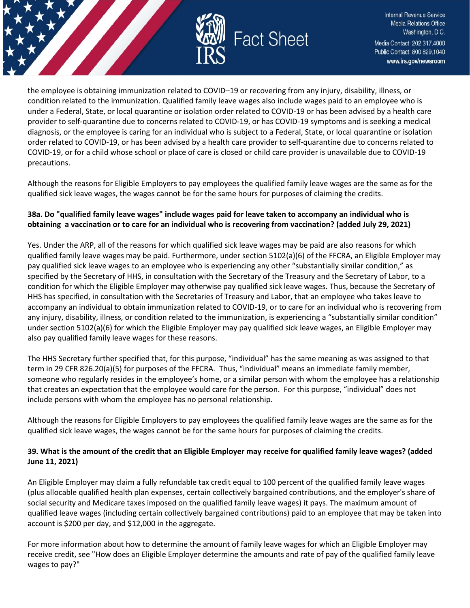

the employee is obtaining immunization related to COVID–19 or recovering from any injury, disability, illness, or condition related to the immunization. Qualified family leave wages also include wages paid to an employee who is under a Federal, State, or local quarantine or isolation order related to COVID-19 or has been advised by a health care provider to self-quarantine due to concerns related to COVID-19, or has COVID-19 symptoms and is seeking a medical diagnosis, or the employee is caring for an individual who is subject to a Federal, State, or local quarantine or isolation order related to COVID-19, or has been advised by a health care provider to self-quarantine due to concerns related to COVID-19, or for a child whose school or place of care is closed or child care provider is unavailable due to COVID-19 precautions.

Although the reasons for Eligible Employers to pay employees the qualified family leave wages are the same as for the qualified sick leave wages, the wages cannot be for the same hours for purposes of claiming the credits.

## **38a. Do "qualified family leave wages" include wages paid for leave taken to accompany an individual who is obtaining a vaccination or to care for an individual who is recovering from vaccination? (added July 29, 2021)**

Yes. Under the ARP, all of the reasons for which qualified sick leave wages may be paid are also reasons for which qualified family leave wages may be paid. Furthermore, under section 5102(a)(6) of the FFCRA, an Eligible Employer may pay qualified sick leave wages to an employee who is experiencing any other "substantially similar condition," as specified by the Secretary of HHS, in consultation with the Secretary of the Treasury and the Secretary of Labor, to a condition for which the Eligible Employer may otherwise pay qualified sick leave wages. Thus, because the Secretary of HHS has specified, in consultation with the Secretaries of Treasury and Labor, that an employee who takes leave to accompany an individual to obtain immunization related to COVID-19, or to care for an individual who is recovering from any injury, disability, illness, or condition related to the immunization, is experiencing a "substantially similar condition" under section 5102(a)(6) for which the Eligible Employer may pay qualified sick leave wages, an Eligible Employer may also pay qualified family leave wages for these reasons.

The HHS Secretary further specified that, for this purpose, "individual" has the same meaning as was assigned to that term in 29 CFR 826.20(a)(5) for purposes of the FFCRA. Thus, "individual" means an immediate family member, someone who regularly resides in the employee's home, or a similar person with whom the employee has a relationship that creates an expectation that the employee would care for the person. For this purpose, "individual" does not include persons with whom the employee has no personal relationship.

Although the reasons for Eligible Employers to pay employees the qualified family leave wages are the same as for the qualified sick leave wages, the wages cannot be for the same hours for purposes of claiming the credits.

#### **39. What is the amount of the credit that an Eligible Employer may receive for qualified family leave wages? (added June 11, 2021)**

An Eligible Employer may claim a fully refundable tax credit equal to 100 percent of the qualified family leave wages (plus allocable qualified health plan expenses, certain collectively bargained contributions, and the employer's share of social security and Medicare taxes imposed on the qualified family leave wages) it pays. The maximum amount of qualified leave wages (including certain collectively bargained contributions) paid to an employee that may be taken into account is \$200 per day, and \$12,000 in the aggregate.

For more information about how to determine the amount of family leave wages for which an Eligible Employer may receive credit, see "How does an Eligible Employer determine the amounts and rate of pay of the qualified family leave wages to pay?"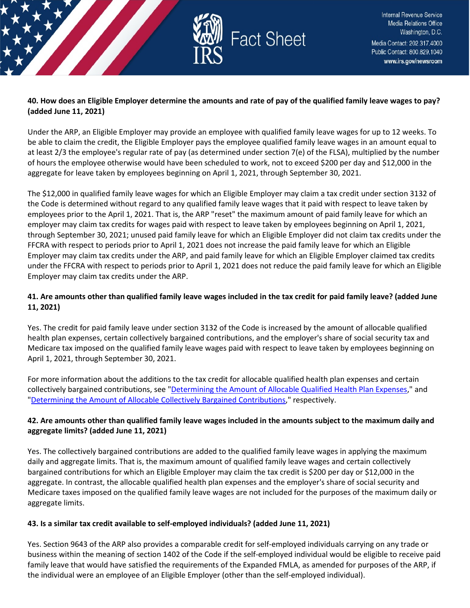

#### **40. How does an Eligible Employer determine the amounts and rate of pay of the qualified family leave wages to pay? (added June 11, 2021)**

Under the ARP, an Eligible Employer may provide an employee with qualified family leave wages for up to 12 weeks. To be able to claim the credit, the Eligible Employer pays the employee qualified family leave wages in an amount equal to at least 2/3 the employee's regular rate of pay (as determined under section 7(e) of the FLSA), multiplied by the number of hours the employee otherwise would have been scheduled to work, not to exceed \$200 per day and \$12,000 in the aggregate for leave taken by employees beginning on April 1, 2021, through September 30, 2021.

The \$12,000 in qualified family leave wages for which an Eligible Employer may claim a tax credit under section 3132 of the Code is determined without regard to any qualified family leave wages that it paid with respect to leave taken by employees prior to the April 1, 2021. That is, the ARP "reset" the maximum amount of paid family leave for which an employer may claim tax credits for wages paid with respect to leave taken by employees beginning on April 1, 2021, through September 30, 2021; unused paid family leave for which an Eligible Employer did not claim tax credits under the FFCRA with respect to periods prior to April 1, 2021 does not increase the paid family leave for which an Eligible Employer may claim tax credits under the ARP, and paid family leave for which an Eligible Employer claimed tax credits under the FFCRA with respect to periods prior to April 1, 2021 does not reduce the paid family leave for which an Eligible Employer may claim tax credits under the ARP.

## **41. Are amounts other than qualified family leave wages included in the tax credit for paid family leave? (added June 11, 2021)**

Yes. The credit for paid family leave under section 3132 of the Code is increased by the amount of allocable qualified health plan expenses, certain collectively bargained contributions, and the employer's share of social security tax and Medicare tax imposed on the qualified family leave wages paid with respect to leave taken by employees beginning on April 1, 2021, through September 30, 2021.

For more information about the additions to the tax credit for allocable qualified health plan expenses and certain collectively bargained contributions, see ["Determining the Amount of Allocable Qualified Health Plan Expenses,](https://www.irs.gov/newsroom/tax-credits-for-paid-leave-under-the-american-rescue-plan-act-of-2021-determining-the-amount-of-allocable-qualified-health-plan-expenses)" and ["Determining the Amount of Allocable Collectively Bargained Contributions,](https://www.irs.gov/newsroom/tax-credits-for-paid-leave-under-the-american-rescue-plan-act-of-2021-determining-the-amount-of-allocable-collectively-bargained-contributions)" respectively.

## **42. Are amounts other than qualified family leave wages included in the amounts subject to the maximum daily and aggregate limits? (added June 11, 2021)**

Yes. The collectively bargained contributions are added to the qualified family leave wages in applying the maximum daily and aggregate limits. That is, the maximum amount of qualified family leave wages and certain collectively bargained contributions for which an Eligible Employer may claim the tax credit is \$200 per day or \$12,000 in the aggregate. In contrast, the allocable qualified health plan expenses and the employer's share of social security and Medicare taxes imposed on the qualified family leave wages are not included for the purposes of the maximum daily or aggregate limits.

## **43. Is a similar tax credit available to self-employed individuals? (added June 11, 2021)**

Yes. Section 9643 of the ARP also provides a comparable credit for self-employed individuals carrying on any trade or business within the meaning of section 1402 of the Code if the self-employed individual would be eligible to receive paid family leave that would have satisfied the requirements of the Expanded FMLA, as amended for purposes of the ARP, if the individual were an employee of an Eligible Employer (other than the self-employed individual).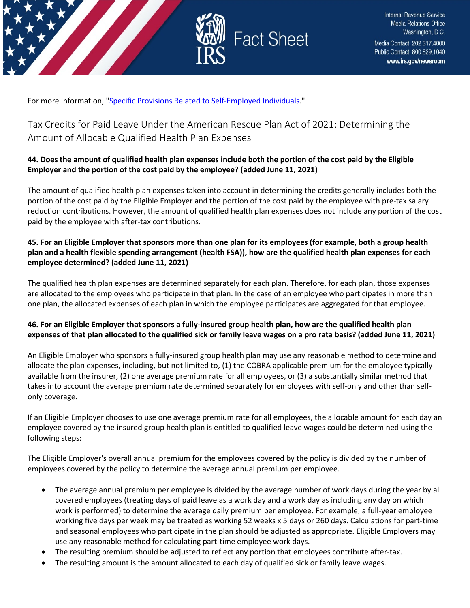



For more information, ["Specific Provisions Related to Self-Employed Individuals.](https://www.irs.gov/newsroom/tax-credits-for-paid-leave-under-the-american-rescue-plan-act-of-2021-specific-provisions-related-to-self-employed-individuals)"

<span id="page-21-0"></span>Tax Credits for Paid Leave Under the American Rescue Plan Act of 2021: Determining the Amount of Allocable Qualified Health Plan Expenses

#### **44. Does the amount of qualified health plan expenses include both the portion of the cost paid by the Eligible Employer and the portion of the cost paid by the employee? (added June 11, 2021)**

The amount of qualified health plan expenses taken into account in determining the credits generally includes both the portion of the cost paid by the Eligible Employer and the portion of the cost paid by the employee with pre-tax salary reduction contributions. However, the amount of qualified health plan expenses does not include any portion of the cost paid by the employee with after-tax contributions.

#### **45. For an Eligible Employer that sponsors more than one plan for its employees (for example, both a group health plan and a health flexible spending arrangement (health FSA)), how are the qualified health plan expenses for each employee determined? (added June 11, 2021)**

The qualified health plan expenses are determined separately for each plan. Therefore, for each plan, those expenses are allocated to the employees who participate in that plan. In the case of an employee who participates in more than one plan, the allocated expenses of each plan in which the employee participates are aggregated for that employee.

## **46. For an Eligible Employer that sponsors a fully-insured group health plan, how are the qualified health plan expenses of that plan allocated to the qualified sick or family leave wages on a pro rata basis? (added June 11, 2021)**

An Eligible Employer who sponsors a fully-insured group health plan may use any reasonable method to determine and allocate the plan expenses, including, but not limited to, (1) the COBRA applicable premium for the employee typically available from the insurer, (2) one average premium rate for all employees, or (3) a substantially similar method that takes into account the average premium rate determined separately for employees with self-only and other than selfonly coverage.

If an Eligible Employer chooses to use one average premium rate for all employees, the allocable amount for each day an employee covered by the insured group health plan is entitled to qualified leave wages could be determined using the following steps:

The Eligible Employer's overall annual premium for the employees covered by the policy is divided by the number of employees covered by the policy to determine the average annual premium per employee.

- The average annual premium per employee is divided by the average number of work days during the year by all covered employees (treating days of paid leave as a work day and a work day as including any day on which work is performed) to determine the average daily premium per employee. For example, a full-year employee working five days per week may be treated as working 52 weeks x 5 days or 260 days. Calculations for part-time and seasonal employees who participate in the plan should be adjusted as appropriate. Eligible Employers may use any reasonable method for calculating part-time employee work days.
- The resulting premium should be adjusted to reflect any portion that employees contribute after-tax.
- The resulting amount is the amount allocated to each day of qualified sick or family leave wages.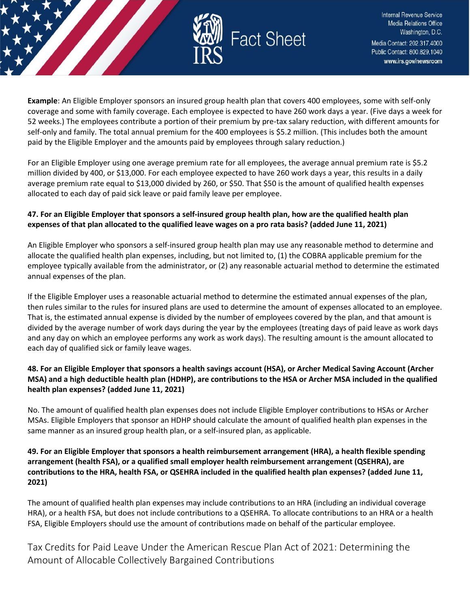

**Example**: An Eligible Employer sponsors an insured group health plan that covers 400 employees, some with self-only coverage and some with family coverage. Each employee is expected to have 260 work days a year. (Five days a week for 52 weeks.) The employees contribute a portion of their premium by pre-tax salary reduction, with different amounts for self-only and family. The total annual premium for the 400 employees is \$5.2 million. (This includes both the amount paid by the Eligible Employer and the amounts paid by employees through salary reduction.)

For an Eligible Employer using one average premium rate for all employees, the average annual premium rate is \$5.2 million divided by 400, or \$13,000. For each employee expected to have 260 work days a year, this results in a daily average premium rate equal to \$13,000 divided by 260, or \$50. That \$50 is the amount of qualified health expenses allocated to each day of paid sick leave or paid family leave per employee.

## **47. For an Eligible Employer that sponsors a self-insured group health plan, how are the qualified health plan expenses of that plan allocated to the qualified leave wages on a pro rata basis? (added June 11, 2021)**

An Eligible Employer who sponsors a self-insured group health plan may use any reasonable method to determine and allocate the qualified health plan expenses, including, but not limited to, (1) the COBRA applicable premium for the employee typically available from the administrator, or (2) any reasonable actuarial method to determine the estimated annual expenses of the plan.

If the Eligible Employer uses a reasonable actuarial method to determine the estimated annual expenses of the plan, then rules similar to the rules for insured plans are used to determine the amount of expenses allocated to an employee. That is, the estimated annual expense is divided by the number of employees covered by the plan, and that amount is divided by the average number of work days during the year by the employees (treating days of paid leave as work days and any day on which an employee performs any work as work days). The resulting amount is the amount allocated to each day of qualified sick or family leave wages.

#### **48. For an Eligible Employer that sponsors a health savings account (HSA), or Archer Medical Saving Account (Archer MSA) and a high deductible health plan (HDHP), are contributions to the HSA or Archer MSA included in the qualified health plan expenses? (added June 11, 2021)**

No. The amount of qualified health plan expenses does not include Eligible Employer contributions to HSAs or Archer MSAs. Eligible Employers that sponsor an HDHP should calculate the amount of qualified health plan expenses in the same manner as an insured group health plan, or a self-insured plan, as applicable.

#### **49. For an Eligible Employer that sponsors a health reimbursement arrangement (HRA), a health flexible spending arrangement (health FSA), or a qualified small employer health reimbursement arrangement (QSEHRA), are contributions to the HRA, health FSA, or QSEHRA included in the qualified health plan expenses? (added June 11, 2021)**

The amount of qualified health plan expenses may include contributions to an HRA (including an individual coverage HRA), or a health FSA, but does not include contributions to a QSEHRA. To allocate contributions to an HRA or a health FSA, Eligible Employers should use the amount of contributions made on behalf of the particular employee.

<span id="page-22-0"></span>Tax Credits for Paid Leave Under the American Rescue Plan Act of 2021: Determining the Amount of Allocable Collectively Bargained Contributions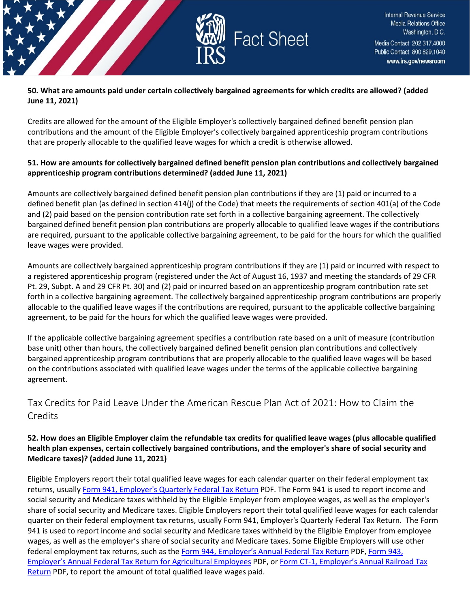

#### **50. What are amounts paid under certain collectively bargained agreements for which credits are allowed? (added June 11, 2021)**

Credits are allowed for the amount of the Eligible Employer's collectively bargained defined benefit pension plan contributions and the amount of the Eligible Employer's collectively bargained apprenticeship program contributions that are properly allocable to the qualified leave wages for which a credit is otherwise allowed.

#### **51. How are amounts for collectively bargained defined benefit pension plan contributions and collectively bargained apprenticeship program contributions determined? (added June 11, 2021)**

Amounts are collectively bargained defined benefit pension plan contributions if they are (1) paid or incurred to a defined benefit plan (as defined in section 414(j) of the Code) that meets the requirements of section 401(a) of the Code and (2) paid based on the pension contribution rate set forth in a collective bargaining agreement. The collectively bargained defined benefit pension plan contributions are properly allocable to qualified leave wages if the contributions are required, pursuant to the applicable collective bargaining agreement, to be paid for the hours for which the qualified leave wages were provided.

Amounts are collectively bargained apprenticeship program contributions if they are (1) paid or incurred with respect to a registered apprenticeship program (registered under the Act of August 16, 1937 and meeting the standards of 29 CFR Pt. 29, Subpt. A and 29 CFR Pt. 30) and (2) paid or incurred based on an apprenticeship program contribution rate set forth in a collective bargaining agreement. The collectively bargained apprenticeship program contributions are properly allocable to the qualified leave wages if the contributions are required, pursuant to the applicable collective bargaining agreement, to be paid for the hours for which the qualified leave wages were provided.

If the applicable collective bargaining agreement specifies a contribution rate based on a unit of measure (contribution base unit) other than hours, the collectively bargained defined benefit pension plan contributions and collectively bargained apprenticeship program contributions that are properly allocable to the qualified leave wages will be based on the contributions associated with qualified leave wages under the terms of the applicable collective bargaining agreement.

## <span id="page-23-0"></span>Tax Credits for Paid Leave Under the American Rescue Plan Act of 2021: How to Claim the **Credits**

#### **52. How does an Eligible Employer claim the refundable tax credits for qualified leave wages (plus allocable qualified health plan expenses, certain collectively bargained contributions, and the employer's share of social security and Medicare taxes)? (added June 11, 2021)**

Eligible Employers report their total qualified leave wages for each calendar quarter on their federal employment tax returns, usuall[y Form 941, Employer's Quarterly Federal Tax Return](https://www.irs.gov/pub/irs-pdf/f941.pdf) PDF. The Form 941 is used to report income and social security and Medicare taxes withheld by the Eligible Employer from employee wages, as well as the employer's share of social security and Medicare taxes. Eligible Employers report their total qualified leave wages for each calendar quarter on their federal employment tax returns, usually Form 941, Employer's Quarterly Federal Tax Return. The Form 941 is used to report income and social security and Medicare taxes withheld by the Eligible Employer from employee wages, as well as the employer's share of social security and Medicare taxes. Some Eligible Employers will use other federal employment tax returns, such as the [Form 944, Employer's Annual Federal Tax Return](https://www.irs.gov/pub/irs-pdf/f944.pdf) PDF, [Form 943,](https://www.irs.gov/pub/irs-pdf/f943.pdf)  Employer's Annual Federal [Tax Return for Agricultural Employees](https://www.irs.gov/pub/irs-pdf/f943.pdf) PDF, o[r Form CT-1, Employer's Annual Railroad Tax](https://www.irs.gov/pub/irs-pdf/fct1.pdf)  [Return](https://www.irs.gov/pub/irs-pdf/fct1.pdf) PDF, to report the amount of total qualified leave wages paid.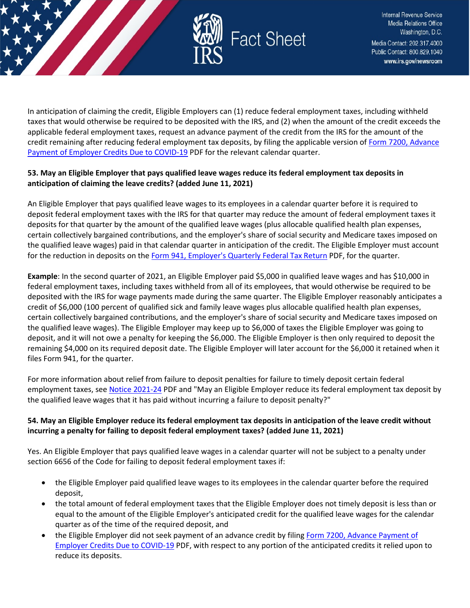

In anticipation of claiming the credit, Eligible Employers can (1) reduce federal employment taxes, including withheld taxes that would otherwise be required to be deposited with the IRS, and (2) when the amount of the credit exceeds the applicable federal employment taxes, request an advance payment of the credit from the IRS for the amount of the credit remaining after reducing federal employment tax deposits, by filing the applicable version of Form 7200, Advance [Payment of Employer Credits Due to COVID-19](https://www.irs.gov/pub/irs-pdf/f7200.pdf) PDF for the relevant calendar quarter.

#### **53. May an Eligible Employer that pays qualified leave wages reduce its federal employment tax deposits in anticipation of claiming the leave credits? (added June 11, 2021)**

An Eligible Employer that pays qualified leave wages to its employees in a calendar quarter before it is required to deposit federal employment taxes with the IRS for that quarter may reduce the amount of federal employment taxes it deposits for that quarter by the amount of the qualified leave wages (plus allocable qualified health plan expenses, certain collectively bargained contributions, and the employer's share of social security and Medicare taxes imposed on the qualified leave wages) paid in that calendar quarter in anticipation of the credit. The Eligible Employer must account for the reduction in deposits on the [Form 941, Employer's Quarterly Federal Tax Return](https://www.irs.gov/pub/irs-pdf/f941.pdf) PDF, for the quarter.

**Example**: In the second quarter of 2021, an Eligible Employer paid \$5,000 in qualified leave wages and has \$10,000 in federal employment taxes, including taxes withheld from all of its employees, that would otherwise be required to be deposited with the IRS for wage payments made during the same quarter. The Eligible Employer reasonably anticipates a credit of \$6,000 (100 percent of qualified sick and family leave wages plus allocable qualified health plan expenses, certain collectively bargained contributions, and the employer's share of social security and Medicare taxes imposed on the qualified leave wages). The Eligible Employer may keep up to \$6,000 of taxes the Eligible Employer was going to deposit, and it will not owe a penalty for keeping the \$6,000. The Eligible Employer is then only required to deposit the remaining \$4,000 on its required deposit date. The Eligible Employer will later account for the \$6,000 it retained when it files Form 941, for the quarter.

For more information about relief from failure to deposit penalties for failure to timely deposit certain federal employment taxes, see [Notice 2021-24](https://www.irs.gov/pub/irs-drop/n-21-24.pdf) PDF and "May an Eligible Employer reduce its federal employment tax deposit by the qualified leave wages that it has paid without incurring a failure to deposit penalty?"

## **54. May an Eligible Employer reduce its federal employment tax deposits in anticipation of the leave credit without incurring a penalty for failing to deposit federal employment taxes? (added June 11, 2021)**

Yes. An Eligible Employer that pays qualified leave wages in a calendar quarter will not be subject to a penalty under section 6656 of the Code for failing to deposit federal employment taxes if:

- the Eligible Employer paid qualified leave wages to its employees in the calendar quarter before the required deposit,
- the total amount of federal employment taxes that the Eligible Employer does not timely deposit is less than or equal to the amount of the Eligible Employer's anticipated credit for the qualified leave wages for the calendar quarter as of the time of the required deposit, and
- the Eligible Employer did not seek payment of an advance credit by filing Form 7200, Advance Payment of [Employer Credits Due to COVID-19](https://www.irs.gov/pub/irs-pdf/f7200.pdf) PDF, with respect to any portion of the anticipated credits it relied upon to reduce its deposits.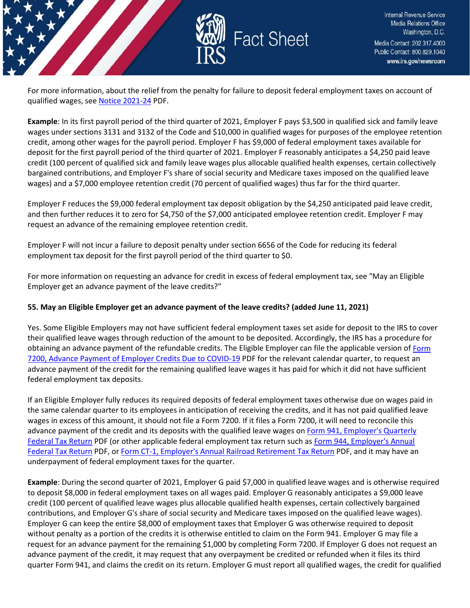

For more information, about the relief from the penalty for failure to deposit federal employment taxes on account of qualified wages, se[e Notice 2021-24](https://www.irs.gov/pub/irs-drop/n-21-24.pdf) PDF.

**Example**: In its first payroll period of the third quarter of 2021, Employer F pays \$3,500 in qualified sick and family leave wages under sections 3131 and 3132 of the Code and \$10,000 in qualified wages for purposes of the employee retention credit, among other wages for the payroll period. Employer F has \$9,000 of federal employment taxes available for deposit for the first payroll period of the third quarter of 2021. Employer F reasonably anticipates a \$4,250 paid leave credit (100 percent of qualified sick and family leave wages plus allocable qualified health expenses, certain collectively bargained contributions, and Employer F's share of social security and Medicare taxes imposed on the qualified leave wages) and a \$7,000 employee retention credit (70 percent of qualified wages) thus far for the third quarter.

Employer F reduces the \$9,000 federal employment tax deposit obligation by the \$4,250 anticipated paid leave credit, and then further reduces it to zero for \$4,750 of the \$7,000 anticipated employee retention credit. Employer F may request an advance of the remaining employee retention credit.

Employer F will not incur a failure to deposit penalty under section 6656 of the Code for reducing its federal employment tax deposit for the first payroll period of the third quarter to \$0.

For more information on requesting an advance for credit in excess of federal employment tax, see "May an Eligible Employer get an advance payment of the leave credits?"

#### **55. May an Eligible Employer get an advance payment of the leave credits? (added June 11, 2021)**

Yes. Some Eligible Employers may not have sufficient federal employment taxes set aside for deposit to the IRS to cover their qualified leave wages through reduction of the amount to be deposited. Accordingly, the IRS has a procedure for obtaining an advance payment of the refundable credits. The Eligible Employer can file the applicable version o[f Form](https://www.irs.gov/pub/irs-pdf/f7200.pdf)  [7200, Advance Payment of Employer Credits Due to COVID-19](https://www.irs.gov/pub/irs-pdf/f7200.pdf) PDF for the relevant calendar quarter, to request an advance payment of the credit for the remaining qualified leave wages it has paid for which it did not have sufficient federal employment tax deposits.

If an Eligible Employer fully reduces its required deposits of federal employment taxes otherwise due on wages paid in the same calendar quarter to its employees in anticipation of receiving the credits, and it has not paid qualified leave wages in excess of this amount, it should not file a Form 7200. If it files a Form 7200, it will need to reconcile this advance payment of the credit and its deposits with the qualified leave wages on Form 941, Employer's Quarterly [Federal Tax Return](https://www.irs.gov/pub/irs-pdf/f941.pdf) PDF (or other applicable federal employment tax return such as [Form 944, Employer's Annual](https://www.irs.gov/pub/irs-pdf/f944.pdf)  [Federal Tax Return](https://www.irs.gov/pub/irs-pdf/f944.pdf) PDF, o[r Form CT-1, Employer's Annual Railroad Retirement Tax Return](https://www.irs.gov/pub/irs-pdf/fct1.pdf) PDF, and it may have an underpayment of federal employment taxes for the quarter.

**Example**: During the second quarter of 2021, Employer G paid \$7,000 in qualified leave wages and is otherwise required to deposit \$8,000 in federal employment taxes on all wages paid. Employer G reasonably anticipates a \$9,000 leave credit (100 percent of qualified leave wages plus allocable qualified health expenses, certain collectively bargained contributions, and Employer G's share of social security and Medicare taxes imposed on the qualified leave wages). Employer G can keep the entire \$8,000 of employment taxes that Employer G was otherwise required to deposit without penalty as a portion of the credits it is otherwise entitled to claim on the Form 941. Employer G may file a request for an advance payment for the remaining \$1,000 by completing Form 7200. If Employer G does not request an advance payment of the credit, it may request that any overpayment be credited or refunded when it files its third quarter Form 941, and claims the credit on its return. Employer G must report all qualified wages, the credit for qualified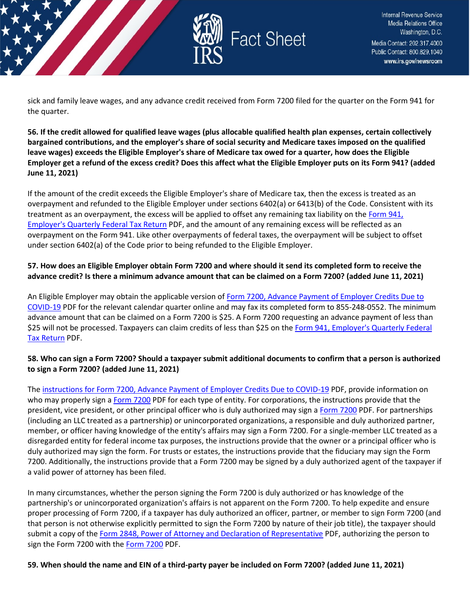

sick and family leave wages, and any advance credit received from Form 7200 filed for the quarter on the Form 941 for the quarter.

**56. If the credit allowed for qualified leave wages (plus allocable qualified health plan expenses, certain collectively bargained contributions, and the employer's share of social security and Medicare taxes imposed on the qualified leave wages) exceeds the Eligible Employer's share of Medicare tax owed for a quarter, how does the Eligible Employer get a refund of the excess credit? Does this affect what the Eligible Employer puts on its Form 941? (added June 11, 2021)**

If the amount of the credit exceeds the Eligible Employer's share of Medicare tax, then the excess is treated as an overpayment and refunded to the Eligible Employer under sections 6402(a) or 6413(b) of the Code. Consistent with its treatment as an overpayment, the excess will be applied to offset any remaining tax liability on the Form 941, [Employer's Quarterly Federal Tax Return](https://www.irs.gov/pub/irs-pdf/f941.pdf) PDF, and the amount of any remaining excess will be reflected as an overpayment on the Form 941. Like other overpayments of federal taxes, the overpayment will be subject to offset under section 6402(a) of the Code prior to being refunded to the Eligible Employer.

#### **57. How does an Eligible Employer obtain Form 7200 and where should it send its completed form to receive the advance credit? Is there a minimum advance amount that can be claimed on a Form 7200? (added June 11, 2021)**

An Eligible Employer may obtain the applicable version of [Form 7200, Advance Payment of Employer Credits Due to](https://www.irs.gov/pub/irs-pdf/f7200.pdf)  [COVID-19](https://www.irs.gov/pub/irs-pdf/f7200.pdf) PDF for the relevant calendar quarter online and may fax its completed form to 855-248-0552. The minimum advance amount that can be claimed on a Form 7200 is \$25. A Form 7200 requesting an advance payment of less than \$25 will not be processed. Taxpayers can claim credits of less than \$25 on the Form 941, Employer's Quarterly Federal [Tax Return](https://www.irs.gov/pub/irs-pdf/f941.pdf) PDF.

## **58. Who can sign a Form 7200? Should a taxpayer submit additional documents to confirm that a person is authorized to sign a Form 7200? (added June 11, 2021)**

The [instructions for Form 7200, Advance Payment of Employer Credits Due to COVID-19](https://www.irs.gov/pub/irs-pdf/i7200.pdf) PDF, provide information on who may properly sign a [Form 7200](https://www.irs.gov/pub/irs-pdf/f7200.pdf) PDF for each type of entity. For corporations, the instructions provide that the president, vice president, or other principal officer who is duly authorized may sign [a Form 7200](https://www.irs.gov/pub/irs-pdf/f7200.pdf) PDF. For partnerships (including an LLC treated as a partnership) or unincorporated organizations, a responsible and duly authorized partner, member, or officer having knowledge of the entity's affairs may sign a Form 7200. For a single-member LLC treated as a disregarded entity for federal income tax purposes, the instructions provide that the owner or a principal officer who is duly authorized may sign the form. For trusts or estates, the instructions provide that the fiduciary may sign the Form 7200. Additionally, the instructions provide that a Form 7200 may be signed by a duly authorized agent of the taxpayer if a valid power of attorney has been filed.

In many circumstances, whether the person signing the Form 7200 is duly authorized or has knowledge of the partnership's or unincorporated organization's affairs is not apparent on the Form 7200. To help expedite and ensure proper processing of Form 7200, if a taxpayer has duly authorized an officer, partner, or member to sign Form 7200 (and that person is not otherwise explicitly permitted to sign the Form 7200 by nature of their job title), the taxpayer should submit a copy of the [Form 2848, Power of Attorney and Declaration of Representative](https://www.irs.gov/pub/irs-pdf/f2848.pdf) PDF, authorizing the person to sign the [Form 7200](https://www.irs.gov/pub/irs-pdf/f7200.pdf) with the Form 7200 PDF.

## **59. When should the name and EIN of a third-party payer be included on Form 7200? (added June 11, 2021)**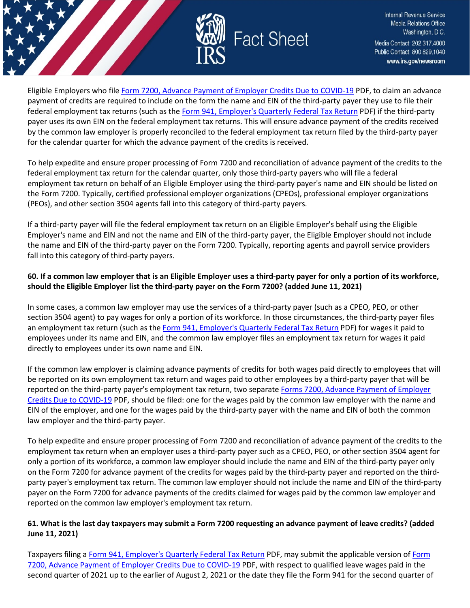

Eligible Employers who file [Form 7200, Advance Payment of Employer Credits Due to COVID-19](https://www.irs.gov/pub/irs-pdf/f7200.pdf) PDF, to claim an advance payment of credits are required to include on the form the name and EIN of the third-party payer they use to file their federal employment tax returns (such as the [Form 941, Employer's Quarterly Federal](https://www.irs.gov/pub/irs-pdf/f941.pdf) Tax Return PDF) if the third-party payer uses its own EIN on the federal employment tax returns. This will ensure advance payment of the credits received by the common law employer is properly reconciled to the federal employment tax return filed by the third-party payer for the calendar quarter for which the advance payment of the credits is received.

To help expedite and ensure proper processing of Form 7200 and reconciliation of advance payment of the credits to the federal employment tax return for the calendar quarter, only those third-party payers who will file a federal employment tax return on behalf of an Eligible Employer using the third-party payer's name and EIN should be listed on the Form 7200. Typically, certified professional employer organizations (CPEOs), professional employer organizations (PEOs), and other section 3504 agents fall into this category of third-party payers.

If a third-party payer will file the federal employment tax return on an Eligible Employer's behalf using the Eligible Employer's name and EIN and not the name and EIN of the third-party payer, the Eligible Employer should not include the name and EIN of the third-party payer on the Form 7200. Typically, reporting agents and payroll service providers fall into this category of third-party payers.

## **60. If a common law employer that is an Eligible Employer uses a third-party payer for only a portion of its workforce, should the Eligible Employer list the third-party payer on the Form 7200? (added June 11, 2021)**

In some cases, a common law employer may use the services of a third-party payer (such as a CPEO, PEO, or other section 3504 agent) to pay wages for only a portion of its workforce. In those circumstances, the third-party payer files an employment tax return (such as the [Form 941, Employer's Quarterly Federal Tax Return](https://www.irs.gov/pub/irs-pdf/f941.pdf) PDF) for wages it paid to employees under its name and EIN, and the common law employer files an employment tax return for wages it paid directly to employees under its own name and EIN.

If the common law employer is claiming advance payments of credits for both wages paid directly to employees that will be reported on its own employment tax return and wages paid to other employees by a third-party payer that will be reported on the third-party payer's employment tax return, two separate [Forms 7200, Advance Payment of Employer](https://www.irs.gov/pub/irs-pdf/f7200.pdf)  [Credits Due to COVID-19](https://www.irs.gov/pub/irs-pdf/f7200.pdf) PDF, should be filed: one for the wages paid by the common law employer with the name and EIN of the employer, and one for the wages paid by the third-party payer with the name and EIN of both the common law employer and the third-party payer.

To help expedite and ensure proper processing of Form 7200 and reconciliation of advance payment of the credits to the employment tax return when an employer uses a third-party payer such as a CPEO, PEO, or other section 3504 agent for only a portion of its workforce, a common law employer should include the name and EIN of the third-party payer only on the Form 7200 for advance payment of the credits for wages paid by the third-party payer and reported on the thirdparty payer's employment tax return. The common law employer should not include the name and EIN of the third-party payer on the Form 7200 for advance payments of the credits claimed for wages paid by the common law employer and reported on the common law employer's employment tax return.

#### **61. What is the last day taxpayers may submit a Form 7200 requesting an advance payment of leave credits? (added June 11, 2021)**

Taxpayers filing [a Form 941, Employer's Quarterly Federal Tax Return](https://www.irs.gov/pub/irs-pdf/f941.pdf) PDF, may submit the applicable version of [Form](https://www.irs.gov/pub/irs-pdf/f7200.pdf)  [7200, Advance Payment of Employer Credits Due to COVID-19](https://www.irs.gov/pub/irs-pdf/f7200.pdf) PDF, with respect to qualified leave wages paid in the second quarter of 2021 up to the earlier of August 2, 2021 or the date they file the Form 941 for the second quarter of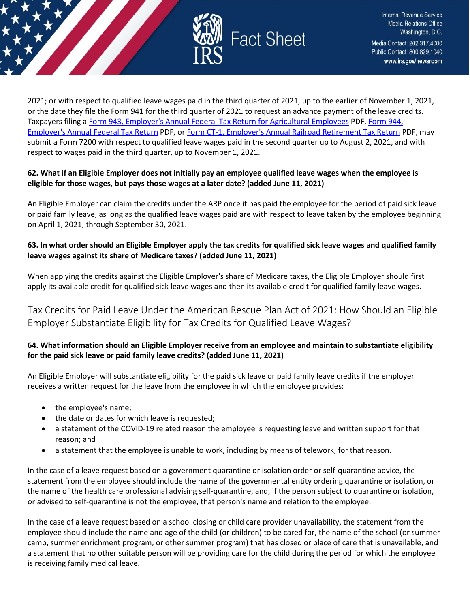

2021; or with respect to qualified leave wages paid in the third quarter of 2021, up to the earlier of November 1, 2021, or the date they file the Form 941 for the third quarter of 2021 to request an advance payment of the leave credits. Taxpayers filing [a Form 943, Employer's Annual Federal Tax Return for Agricultural Employees](https://www.irs.gov/pub/irs-pdf/f943.pdf) PDF[, Form 944,](https://www.irs.gov/pub/irs-pdf/f944.pdf)  [Employer's Annual Federal Tax Return](https://www.irs.gov/pub/irs-pdf/f944.pdf) PDF, o[r Form CT-1, Employer's Annual Railroad Retirement Tax Return](https://www.irs.gov/pub/irs-pdf/fct1.pdf) PDF, may submit a Form 7200 with respect to qualified leave wages paid in the second quarter up to August 2, 2021, and with respect to wages paid in the third quarter, up to November 1, 2021.

#### **62. What if an Eligible Employer does not initially pay an employee qualified leave wages when the employee is eligible for those wages, but pays those wages at a later date? (added June 11, 2021)**

An Eligible Employer can claim the credits under the ARP once it has paid the employee for the period of paid sick leave or paid family leave, as long as the qualified leave wages paid are with respect to leave taken by the employee beginning on April 1, 2021, through September 30, 2021.

## **63. In what order should an Eligible Employer apply the tax credits for qualified sick leave wages and qualified family leave wages against its share of Medicare taxes? (added June 11, 2021)**

When applying the credits against the Eligible Employer's share of Medicare taxes, the Eligible Employer should first apply its available credit for qualified sick leave wages and then its available credit for qualified family leave wages.

<span id="page-28-0"></span>Tax Credits for Paid Leave Under the American Rescue Plan Act of 2021: How Should an Eligible Employer Substantiate Eligibility for Tax Credits for Qualified Leave Wages?

## **64. What information should an Eligible Employer receive from an employee and maintain to substantiate eligibility for the paid sick leave or paid family leave credits? (added June 11, 2021)**

An Eligible Employer will substantiate eligibility for the paid sick leave or paid family leave credits if the employer receives a written request for the leave from the employee in which the employee provides:

- the employee's name;
- the date or dates for which leave is requested;
- a statement of the COVID-19 related reason the employee is requesting leave and written support for that reason; and
- a statement that the employee is unable to work, including by means of telework, for that reason.

In the case of a leave request based on a government quarantine or isolation order or self-quarantine advice, the statement from the employee should include the name of the governmental entity ordering quarantine or isolation, or the name of the health care professional advising self-quarantine, and, if the person subject to quarantine or isolation, or advised to self-quarantine is not the employee, that person's name and relation to the employee.

In the case of a leave request based on a school closing or child care provider unavailability, the statement from the employee should include the name and age of the child (or children) to be cared for, the name of the school (or summer camp, summer enrichment program, or other summer program) that has closed or place of care that is unavailable, and a statement that no other suitable person will be providing care for the child during the period for which the employee is receiving family medical leave.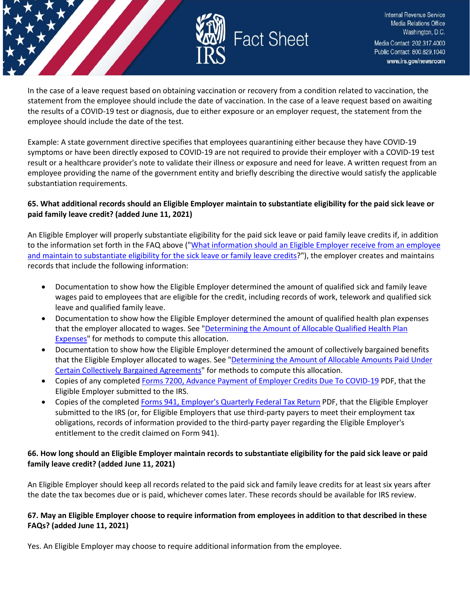

In the case of a leave request based on obtaining vaccination or recovery from a condition related to vaccination, the statement from the employee should include the date of vaccination. In the case of a leave request based on awaiting the results of a COVID-19 test or diagnosis, due to either exposure or an employer request, the statement from the employee should include the date of the test.

Example: A state government directive specifies that employees quarantining either because they have COVID-19 symptoms or have been directly exposed to COVID-19 are not required to provide their employer with a COVID-19 test result or a healthcare provider's note to validate their illness or exposure and need for leave. A written request from an employee providing the name of the government entity and briefly describing the directive would satisfy the applicable substantiation requirements.

#### **65. What additional records should an Eligible Employer maintain to substantiate eligibility for the paid sick leave or paid family leave credit? (added June 11, 2021)**

An Eligible Employer will properly substantiate eligibility for the paid sick leave or paid family leave credits if, in addition to the information set forth in the FAQ above (["What information should an Eligible Employer receive from an employee](https://www.irs.gov/newsroom/tax-credits-for-paid-leave-under-the-american-rescue-plan-act-of-2021-how-should-an-eligible-employer-substantiate-eligibility-for-tax-credits-for-qualified-leave-wages#_What_information_should)  [and maintain to substantiate eligibility for the sick leave or family leave credits?](https://www.irs.gov/newsroom/tax-credits-for-paid-leave-under-the-american-rescue-plan-act-of-2021-how-should-an-eligible-employer-substantiate-eligibility-for-tax-credits-for-qualified-leave-wages#_What_information_should)"), the employer creates and maintains records that include the following information:

- Documentation to show how the Eligible Employer determined the amount of qualified sick and family leave wages paid to employees that are eligible for the credit, including records of work, telework and qualified sick leave and qualified family leave.
- Documentation to show how the Eligible Employer determined the amount of qualified health plan expenses that the employer allocated to wages. See "Determining the Amount of Allocable Qualified Health Plan [Expenses"](https://www.irs.gov/newsroom/tax-credits-for-paid-leave-under-the-american-rescue-plan-act-of-2021-how-should-an-eligible-employer-substantiate-eligibility-for-tax-credits-for-qualified-leave-wages#allocable_qualified_health_plan_expenses) for methods to compute this allocation.
- Documentation to show how the Eligible Employer determined the amount of collectively bargained benefits that the Eligible Employer allocated to wages. See ["Determining the Amount of Allocable Amounts Paid Under](https://www.irs.gov/newsroom/tax-credits-for-paid-leave-under-the-american-rescue-plan-act-of-2021-how-should-an-eligible-employer-substantiate-eligibility-for-tax-credits-for-qualified-leave-wages#how_to_claim)  [Certain Collectively Bargained Agreements"](https://www.irs.gov/newsroom/tax-credits-for-paid-leave-under-the-american-rescue-plan-act-of-2021-how-should-an-eligible-employer-substantiate-eligibility-for-tax-credits-for-qualified-leave-wages#how_to_claim) for methods to compute this allocation.
- Copies of any completed [Forms 7200, Advance Payment of Employer Credits Due To COVID-19](https://www.irs.gov/pub/irs-pdf/f7200.pdf) PDF, that the Eligible Employer submitted to the IRS.
- Copies of the complete[d Forms 941, Employer's Quarterly Federal Tax Return](https://www.irs.gov/pub/irs-pdf/f941.pdf) PDF, that the Eligible Employer submitted to the IRS (or, for Eligible Employers that use third-party payers to meet their employment tax obligations, records of information provided to the third-party payer regarding the Eligible Employer's entitlement to the credit claimed on Form 941).

#### **66. How long should an Eligible Employer maintain records to substantiate eligibility for the paid sick leave or paid family leave credit? (added June 11, 2021)**

An Eligible Employer should keep all records related to the paid sick and family leave credits for at least six years after the date the tax becomes due or is paid, whichever comes later. These records should be available for IRS review.

## **67. May an Eligible Employer choose to require information from employees in addition to that described in these FAQs? (added June 11, 2021)**

Yes. An Eligible Employer may choose to require additional information from the employee.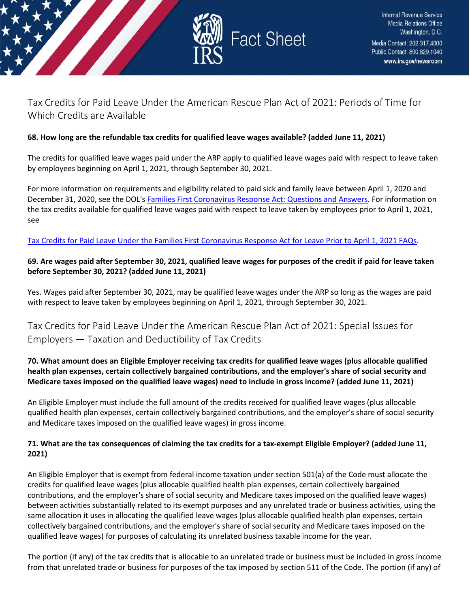

## <span id="page-30-0"></span>Tax Credits for Paid Leave Under the American Rescue Plan Act of 2021: Periods of Time for Which Credits are Available

#### **68. How long are the refundable tax credits for qualified leave wages available? (added June 11, 2021)**

The credits for qualified leave wages paid under the ARP apply to qualified leave wages paid with respect to leave taken by employees beginning on April 1, 2021, through September 30, 2021.

For more information on requirements and eligibility related to paid sick and family leave between April 1, 2020 and December 31, 2020, see the DOL'[s Families First Coronavirus Response Act: Questions and Answers.](https://www.dol.gov/agencies/whd/pandemic/ffcra-questions) For information on the tax credits available for qualified leave wages paid with respect to leave taken by employees prior to April 1, 2021, see

## [Tax Credits for Paid Leave Under the Families First Coronavirus Response Act for Leave Prior to April 1, 2021 FAQs.](https://www.irs.gov/newsroom/tax-credits-for-paid-leave-under-the-families-first-coronavirus-response-act-for-leave-prior-to-april-1-2021)

## **69. Are wages paid after September 30, 2021, qualified leave wages for purposes of the credit if paid for leave taken before September 30, 2021? (added June 11, 2021)**

Yes. Wages paid after September 30, 2021, may be qualified leave wages under the ARP so long as the wages are paid with respect to leave taken by employees beginning on April 1, 2021, through September 30, 2021.

<span id="page-30-1"></span>Tax Credits for Paid Leave Under the American Rescue Plan Act of 2021: Special Issues for Employers — Taxation and Deductibility of Tax Credits

## **70. What amount does an Eligible Employer receiving tax credits for qualified leave wages (plus allocable qualified health plan expenses, certain collectively bargained contributions, and the employer's share of social security and Medicare taxes imposed on the qualified leave wages) need to include in gross income? (added June 11, 2021)**

An Eligible Employer must include the full amount of the credits received for qualified leave wages (plus allocable qualified health plan expenses, certain collectively bargained contributions, and the employer's share of social security and Medicare taxes imposed on the qualified leave wages) in gross income.

## **71. What are the tax consequences of claiming the tax credits for a tax-exempt Eligible Employer? (added June 11, 2021)**

An Eligible Employer that is exempt from federal income taxation under section 501(a) of the Code must allocate the credits for qualified leave wages (plus allocable qualified health plan expenses, certain collectively bargained contributions, and the employer's share of social security and Medicare taxes imposed on the qualified leave wages) between activities substantially related to its exempt purposes and any unrelated trade or business activities, using the same allocation it uses in allocating the qualified leave wages (plus allocable qualified health plan expenses, certain collectively bargained contributions, and the employer's share of social security and Medicare taxes imposed on the qualified leave wages) for purposes of calculating its unrelated business taxable income for the year.

The portion (if any) of the tax credits that is allocable to an unrelated trade or business must be included in gross income from that unrelated trade or business for purposes of the tax imposed by section 511 of the Code. The portion (if any) of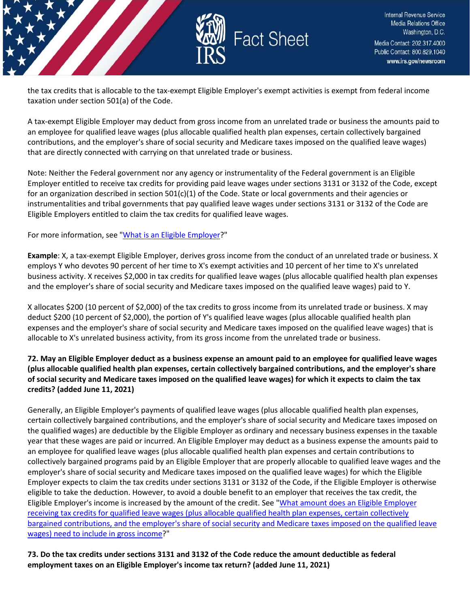

the tax credits that is allocable to the tax-exempt Eligible Employer's exempt activities is exempt from federal income taxation under section 501(a) of the Code.

A tax-exempt Eligible Employer may deduct from gross income from an unrelated trade or business the amounts paid to an employee for qualified leave wages (plus allocable qualified health plan expenses, certain collectively bargained contributions, and the employer's share of social security and Medicare taxes imposed on the qualified leave wages) that are directly connected with carrying on that unrelated trade or business.

Note: Neither the Federal government nor any agency or instrumentality of the Federal government is an Eligible Employer entitled to receive tax credits for providing paid leave wages under sections 3131 or 3132 of the Code, except for an organization described in section  $501(c)(1)$  of the Code. State or local governments and their agencies or instrumentalities and tribal governments that pay qualified leave wages under sections 3131 or 3132 of the Code are Eligible Employers entitled to claim the tax credits for qualified leave wages.

#### For more information, see ["What is an Eligible Employer?](https://www.irs.gov/newsroom/tax-credits-for-paid-leave-under-the-american-rescue-plan-act-of-2021-what-is-an-eligible-employer)"

**Example**: X, a tax-exempt Eligible Employer, derives gross income from the conduct of an unrelated trade or business. X employs Y who devotes 90 percent of her time to X's exempt activities and 10 percent of her time to X's unrelated business activity. X receives \$2,000 in tax credits for qualified leave wages (plus allocable qualified health plan expenses and the employer's share of social security and Medicare taxes imposed on the qualified leave wages) paid to Y.

X allocates \$200 (10 percent of \$2,000) of the tax credits to gross income from its unrelated trade or business. X may deduct \$200 (10 percent of \$2,000), the portion of Y's qualified leave wages (plus allocable qualified health plan expenses and the employer's share of social security and Medicare taxes imposed on the qualified leave wages) that is allocable to X's unrelated business activity, from its gross income from the unrelated trade or business.

#### **72. May an Eligible Employer deduct as a business expense an amount paid to an employee for qualified leave wages (plus allocable qualified health plan expenses, certain collectively bargained contributions, and the employer's share of social security and Medicare taxes imposed on the qualified leave wages) for which it expects to claim the tax credits? (added June 11, 2021)**

Generally, an Eligible Employer's payments of qualified leave wages (plus allocable qualified health plan expenses, certain collectively bargained contributions, and the employer's share of social security and Medicare taxes imposed on the qualified wages) are deductible by the Eligible Employer as ordinary and necessary business expenses in the taxable year that these wages are paid or incurred. An Eligible Employer may deduct as a business expense the amounts paid to an employee for qualified leave wages (plus allocable qualified health plan expenses and certain contributions to collectively bargained programs paid by an Eligible Employer that are properly allocable to qualified leave wages and the employer's share of social security and Medicare taxes imposed on the qualified leave wages) for which the Eligible Employer expects to claim the tax credits under sections 3131 or 3132 of the Code, if the Eligible Employer is otherwise eligible to take the deduction. However, to avoid a double benefit to an employer that receives the tax credit, the Eligible Employer's income is increased by the amount of the credit. See ["What amount does an Eligible Employer](https://www.irs.gov/newsroom/tax-credits-for-paid-leave-under-the-american-rescue-plan-act-of-2021-special-issues-for-employers-taxation-and-deductibility-of-tax-credits#what-amount-to-include-in-gross-income)  [receiving tax credits for qualified leave wages \(plus allocable qualified health plan expenses, certain collectively](https://www.irs.gov/newsroom/tax-credits-for-paid-leave-under-the-american-rescue-plan-act-of-2021-special-issues-for-employers-taxation-and-deductibility-of-tax-credits#what-amount-to-include-in-gross-income)  [bargained contributions, and the employer's share of social security and Medicare taxes imposed on the qualified leave](https://www.irs.gov/newsroom/tax-credits-for-paid-leave-under-the-american-rescue-plan-act-of-2021-special-issues-for-employers-taxation-and-deductibility-of-tax-credits#what-amount-to-include-in-gross-income)  [wages\) need to include in gross income?](https://www.irs.gov/newsroom/tax-credits-for-paid-leave-under-the-american-rescue-plan-act-of-2021-special-issues-for-employers-taxation-and-deductibility-of-tax-credits#what-amount-to-include-in-gross-income)"

**73. Do the tax credits under sections 3131 and 3132 of the Code reduce the amount deductible as federal employment taxes on an Eligible Employer's income tax return? (added June 11, 2021)**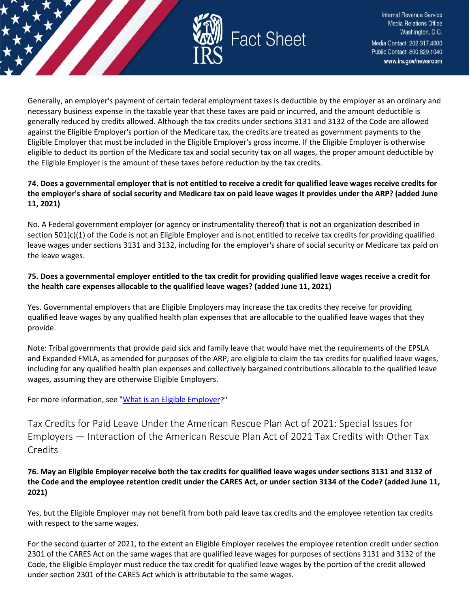

Generally, an employer's payment of certain federal employment taxes is deductible by the employer as an ordinary and necessary business expense in the taxable year that these taxes are paid or incurred, and the amount deductible is generally reduced by credits allowed. Although the tax credits under sections 3131 and 3132 of the Code are allowed against the Eligible Employer's portion of the Medicare tax, the credits are treated as government payments to the Eligible Employer that must be included in the Eligible Employer's gross income. If the Eligible Employer is otherwise eligible to deduct its portion of the Medicare tax and social security tax on all wages, the proper amount deductible by the Eligible Employer is the amount of these taxes before reduction by the tax credits.

#### **74. Does a governmental employer that is not entitled to receive a credit for qualified leave wages receive credits for the employer's share of social security and Medicare tax on paid leave wages it provides under the ARP? (added June 11, 2021)**

No. A Federal government employer (or agency or instrumentality thereof) that is not an organization described in section  $501(c)(1)$  of the Code is not an Eligible Employer and is not entitled to receive tax credits for providing qualified leave wages under sections 3131 and 3132, including for the employer's share of social security or Medicare tax paid on the leave wages.

## **75. Does a governmental employer entitled to the tax credit for providing qualified leave wages receive a credit for the health care expenses allocable to the qualified leave wages? (added June 11, 2021)**

Yes. Governmental employers that are Eligible Employers may increase the tax credits they receive for providing qualified leave wages by any qualified health plan expenses that are allocable to the qualified leave wages that they provide.

Note: Tribal governments that provide paid sick and family leave that would have met the requirements of the EPSLA and Expanded FMLA, as amended for purposes of the ARP, are eligible to claim the tax credits for qualified leave wages, including for any qualified health plan expenses and collectively bargained contributions allocable to the qualified leave wages, assuming they are otherwise Eligible Employers.

For more information, see ["What is an Eligible Employer?](https://www.irs.gov/newsroom/tax-credits-for-paid-leave-under-the-american-rescue-plan-act-of-2021-what-is-an-eligible-employer)"

<span id="page-32-0"></span>Tax Credits for Paid Leave Under the American Rescue Plan Act of 2021: Special Issues for Employers — Interaction of the American Rescue Plan Act of 2021 Tax Credits with Other Tax **Credits** 

## **76. May an Eligible Employer receive both the tax credits for qualified leave wages under sections 3131 and 3132 of the Code and the employee retention credit under the CARES Act, or under section 3134 of the Code? (added June 11, 2021)**

Yes, but the Eligible Employer may not benefit from both paid leave tax credits and the employee retention tax credits with respect to the same wages.

For the second quarter of 2021, to the extent an Eligible Employer receives the employee retention credit under section 2301 of the CARES Act on the same wages that are qualified leave wages for purposes of sections 3131 and 3132 of the Code, the Eligible Employer must reduce the tax credit for qualified leave wages by the portion of the credit allowed under section 2301 of the CARES Act which is attributable to the same wages.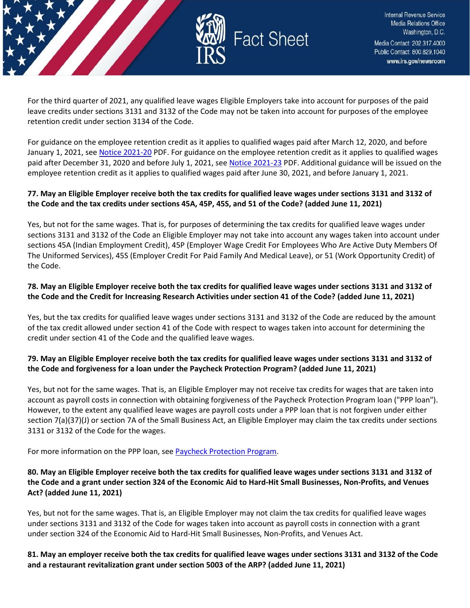

For the third quarter of 2021, any qualified leave wages Eligible Employers take into account for purposes of the paid leave credits under sections 3131 and 3132 of the Code may not be taken into account for purposes of the employee retention credit under section 3134 of the Code.

For guidance on the employee retention credit as it applies to qualified wages paid after March 12, 2020, and before January 1, 2021, see [Notice 2021-20](https://www.irs.gov/pub/irs-drop/n-21-20.pdf) PDF. For guidance on the employee retention credit as it applies to qualified wages paid after December 31, 2020 and before July 1, 2021, se[e Notice 2021-23](https://www.irs.gov/pub/irs-drop/n-21-23.pdf) PDF. Additional guidance will be issued on the employee retention credit as it applies to qualified wages paid after June 30, 2021, and before January 1, 2021.

#### **77. May an Eligible Employer receive both the tax credits for qualified leave wages under sections 3131 and 3132 of the Code and the tax credits under sections 45A, 45P, 45S, and 51 of the Code? (added June 11, 2021)**

Yes, but not for the same wages. That is, for purposes of determining the tax credits for qualified leave wages under sections 3131 and 3132 of the Code an Eligible Employer may not take into account any wages taken into account under sections 45A (Indian Employment Credit), 45P (Employer Wage Credit For Employees Who Are Active Duty Members Of The Uniformed Services), 45S (Employer Credit For Paid Family And Medical Leave), or 51 (Work Opportunity Credit) of the Code.

#### **78. May an Eligible Employer receive both the tax credits for qualified leave wages under sections 3131 and 3132 of the Code and the Credit for Increasing Research Activities under section 41 of the Code? (added June 11, 2021)**

Yes, but the tax credits for qualified leave wages under sections 3131 and 3132 of the Code are reduced by the amount of the tax credit allowed under section 41 of the Code with respect to wages taken into account for determining the credit under section 41 of the Code and the qualified leave wages.

## **79. May an Eligible Employer receive both the tax credits for qualified leave wages under sections 3131 and 3132 of the Code and forgiveness for a loan under the Paycheck Protection Program? (added June 11, 2021)**

Yes, but not for the same wages. That is, an Eligible Employer may not receive tax credits for wages that are taken into account as payroll costs in connection with obtaining forgiveness of the Paycheck Protection Program loan ("PPP loan"). However, to the extent any qualified leave wages are payroll costs under a PPP loan that is not forgiven under either section 7(a)(37)(J) or section 7A of the Small Business Act, an Eligible Employer may claim the tax credits under sections 3131 or 3132 of the Code for the wages.

For more information on the PPP loan, se[e Paycheck Protection Program.](https://www.sba.gov/funding-programs/loans/coronavirus-relief-options/paycheck-protection-program)

#### **80. May an Eligible Employer receive both the tax credits for qualified leave wages under sections 3131 and 3132 of the Code and a grant under section 324 of the Economic Aid to Hard-Hit Small Businesses, Non-Profits, and Venues Act? (added June 11, 2021)**

Yes, but not for the same wages. That is, an Eligible Employer may not claim the tax credits for qualified leave wages under sections 3131 and 3132 of the Code for wages taken into account as payroll costs in connection with a grant under section 324 of the Economic Aid to Hard-Hit Small Businesses, Non-Profits, and Venues Act.

**81. May an employer receive both the tax credits for qualified leave wages under sections 3131 and 3132 of the Code and a restaurant revitalization grant under section 5003 of the ARP? (added June 11, 2021)**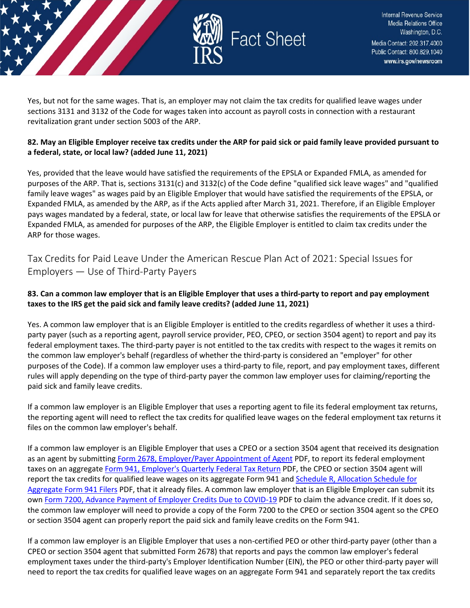

Yes, but not for the same wages. That is, an employer may not claim the tax credits for qualified leave wages under sections 3131 and 3132 of the Code for wages taken into account as payroll costs in connection with a restaurant revitalization grant under section 5003 of the ARP.

## **82. May an Eligible Employer receive tax credits under the ARP for paid sick or paid family leave provided pursuant to a federal, state, or local law? (added June 11, 2021)**

Yes, provided that the leave would have satisfied the requirements of the EPSLA or Expanded FMLA, as amended for purposes of the ARP. That is, sections 3131(c) and 3132(c) of the Code define "qualified sick leave wages" and "qualified family leave wages" as wages paid by an Eligible Employer that would have satisfied the requirements of the EPSLA, or Expanded FMLA, as amended by the ARP, as if the Acts applied after March 31, 2021. Therefore, if an Eligible Employer pays wages mandated by a federal, state, or local law for leave that otherwise satisfies the requirements of the EPSLA or Expanded FMLA, as amended for purposes of the ARP, the Eligible Employer is entitled to claim tax credits under the ARP for those wages.

<span id="page-34-0"></span>Tax Credits for Paid Leave Under the American Rescue Plan Act of 2021: Special Issues for Employers — Use of Third-Party Payers

## **83. Can a common law employer that is an Eligible Employer that uses a third-party to report and pay employment taxes to the IRS get the paid sick and family leave credits? (added June 11, 2021)**

Yes. A common law employer that is an Eligible Employer is entitled to the credits regardless of whether it uses a thirdparty payer (such as a reporting agent, payroll service provider, PEO, CPEO, or section 3504 agent) to report and pay its federal employment taxes. The third-party payer is not entitled to the tax credits with respect to the wages it remits on the common law employer's behalf (regardless of whether the third-party is considered an "employer" for other purposes of the Code). If a common law employer uses a third-party to file, report, and pay employment taxes, different rules will apply depending on the type of third-party payer the common law employer uses for claiming/reporting the paid sick and family leave credits.

If a common law employer is an Eligible Employer that uses a reporting agent to file its federal employment tax returns, the reporting agent will need to reflect the tax credits for qualified leave wages on the federal employment tax returns it files on the common law employer's behalf.

If a common law employer is an Eligible Employer that uses a CPEO or a section 3504 agent that received its designation as an agent by submitting [Form 2678, Employer/Payer Appointment of Agent](https://www.irs.gov/pub/irs-pdf/f2678.pdf) PDF, to report its federal employment taxes on an aggregat[e Form 941, Employer's Quarterly Federal Tax Return](https://www.irs.gov/pub/irs-pdf/f941.pdf) PDF, the CPEO or section 3504 agent will report the tax credits for qualified leave wages on its aggregate Form 941 and Schedule R, Allocation Schedule for [Aggregate Form 941 Filers](https://www.irs.gov/pub/irs-pdf/f941sr.pdf) PDF, that it already files. A common law employer that is an Eligible Employer can submit its own [Form 7200, Advance Payment of Employer Credits Due to COVID-19](https://www.irs.gov/pub/irs-pdf/f7200.pdf) PDF to claim the advance credit. If it does so, the common law employer will need to provide a copy of the Form 7200 to the CPEO or section 3504 agent so the CPEO or section 3504 agent can properly report the paid sick and family leave credits on the Form 941.

If a common law employer is an Eligible Employer that uses a non-certified PEO or other third-party payer (other than a CPEO or section 3504 agent that submitted Form 2678) that reports and pays the common law employer's federal employment taxes under the third-party's Employer Identification Number (EIN), the PEO or other third-party payer will need to report the tax credits for qualified leave wages on an aggregate Form 941 and separately report the tax credits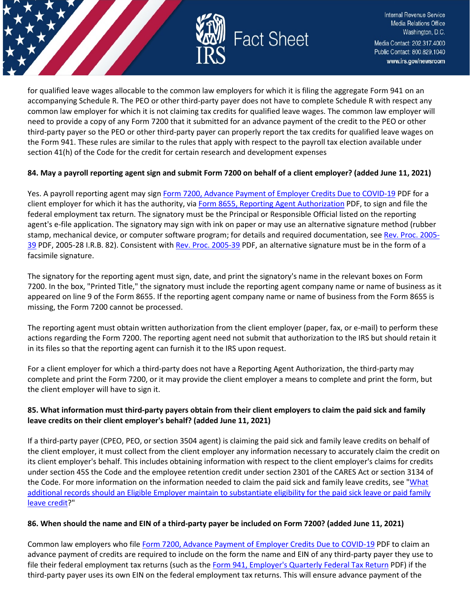

for qualified leave wages allocable to the common law employers for which it is filing the aggregate Form 941 on an accompanying Schedule R. The PEO or other third-party payer does not have to complete Schedule R with respect any common law employer for which it is not claiming tax credits for qualified leave wages. The common law employer will need to provide a copy of any Form 7200 that it submitted for an advance payment of the credit to the PEO or other third-party payer so the PEO or other third-party payer can properly report the tax credits for qualified leave wages on the Form 941. These rules are similar to the rules that apply with respect to the payroll tax election available under section 41(h) of the Code for the credit for certain research and development expenses

#### **84. May a payroll reporting agent sign and submit Form 7200 on behalf of a client employer? (added June 11, 2021)**

Yes. A payroll reporting agent may sig[n Form 7200, Advance Payment of Employer Credits Due to COVID-19](https://www.irs.gov/pub/irs-pdf/f7200.pdf) PDF for a client employer for which it has the authority, vi[a Form 8655, Reporting Agent Authorization](https://www.irs.gov/pub/irs-pdf/f8655.pdf) PDF, to sign and file the federal employment tax return. The signatory must be the Principal or Responsible Official listed on the reporting agent's e-file application. The signatory may sign with ink on paper or may use an alternative signature method (rubber stamp, mechanical device, or computer software program; for details and required documentation, see [Rev. Proc. 2005-](https://www.irs.gov/pub/irs-irbs/irb05-39.pdf) [39](https://www.irs.gov/pub/irs-irbs/irb05-39.pdf) PDF, 2005-28 I.R.B. 82). Consistent with Rev. [Proc. 2005-39](https://www.irs.gov/pub/irs-irbs/irb05-39.pdf) PDF, an alternative signature must be in the form of a facsimile signature.

The signatory for the reporting agent must sign, date, and print the signatory's name in the relevant boxes on Form 7200. In the box, "Printed Title," the signatory must include the reporting agent company name or name of business as it appeared on line 9 of the Form 8655. If the reporting agent company name or name of business from the Form 8655 is missing, the Form 7200 cannot be processed.

The reporting agent must obtain written authorization from the client employer (paper, fax, or e-mail) to perform these actions regarding the Form 7200. The reporting agent need not submit that authorization to the IRS but should retain it in its files so that the reporting agent can furnish it to the IRS upon request.

For a client employer for which a third-party does not have a Reporting Agent Authorization, the third-party may complete and print the Form 7200, or it may provide the client employer a means to complete and print the form, but the client employer will have to sign it.

## **85. What information must third-party payers obtain from their client employers to claim the paid sick and family leave credits on their client employer's behalf? (added June 11, 2021)**

If a third-party payer (CPEO, PEO, or section 3504 agent) is claiming the paid sick and family leave credits on behalf of the client employer, it must collect from the client employer any information necessary to accurately claim the credit on its client employer's behalf. This includes obtaining information with respect to the client employer's claims for credits under section 45S the Code and the employee retention credit under section 2301 of the CARES Act or section 3134 of the Code. For more information on the information needed to claim the paid sick and family leave credits, see ["What](https://www.irs.gov/newsroom/tax-credits-for-paid-leave-under-the-american-rescue-plan-act-of-2021-special-issues-for-employers-use-of-third-party-payers#_What_additional_records)  [additional records should an Eligible Employer maintain to substantiate eligibility for the paid sick leave or paid family](https://www.irs.gov/newsroom/tax-credits-for-paid-leave-under-the-american-rescue-plan-act-of-2021-special-issues-for-employers-use-of-third-party-payers#_What_additional_records)  [leave credit?](https://www.irs.gov/newsroom/tax-credits-for-paid-leave-under-the-american-rescue-plan-act-of-2021-special-issues-for-employers-use-of-third-party-payers#_What_additional_records)"

#### **86. When should the name and EIN of a third-party payer be included on Form 7200? (added June 11, 2021)**

Common law employers who file [Form 7200, Advance Payment of Employer Credits Due to COVID-19](https://www.irs.gov/pub/irs-pdf/f7200.pdf) PDF to claim an advance payment of credits are required to include on the form the name and EIN of any third-party payer they use to file their federal employment tax returns (such as the [Form 941, Employer's Quarterly Federal Tax Return](https://www.irs.gov/pub/irs-pdf/f941.pdf) PDF) if the third-party payer uses its own EIN on the federal employment tax returns. This will ensure advance payment of the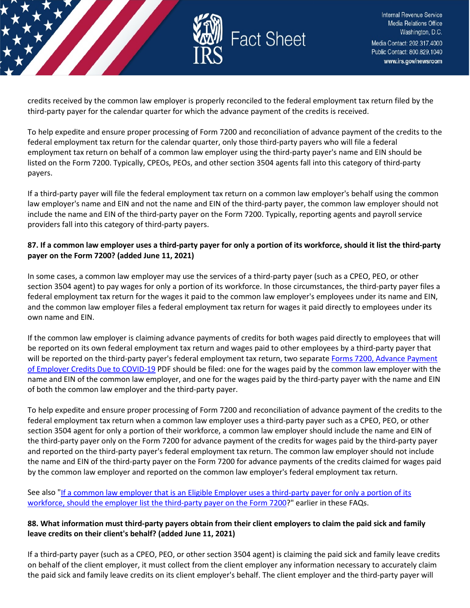

credits received by the common law employer is properly reconciled to the federal employment tax return filed by the third-party payer for the calendar quarter for which the advance payment of the credits is received.

To help expedite and ensure proper processing of Form 7200 and reconciliation of advance payment of the credits to the federal employment tax return for the calendar quarter, only those third-party payers who will file a federal employment tax return on behalf of a common law employer using the third-party payer's name and EIN should be listed on the Form 7200. Typically, CPEOs, PEOs, and other section 3504 agents fall into this category of third-party payers.

If a third-party payer will file the federal employment tax return on a common law employer's behalf using the common law employer's name and EIN and not the name and EIN of the third-party payer, the common law employer should not include the name and EIN of the third-party payer on the Form 7200. Typically, reporting agents and payroll service providers fall into this category of third-party payers.

#### **87. If a common law employer uses a third-party payer for only a portion of its workforce, should it list the third-party payer on the Form 7200? (added June 11, 2021)**

In some cases, a common law employer may use the services of a third-party payer (such as a CPEO, PEO, or other section 3504 agent) to pay wages for only a portion of its workforce. In those circumstances, the third-party payer files a federal employment tax return for the wages it paid to the common law employer's employees under its name and EIN, and the common law employer files a federal employment tax return for wages it paid directly to employees under its own name and EIN.

If the common law employer is claiming advance payments of credits for both wages paid directly to employees that will be reported on its own federal employment tax return and wages paid to other employees by a third-party payer that will be reported on the third-party payer's federal employment tax return, two separate Forms 7200, Advance Payment [of Employer Credits Due to COVID-19](https://www.irs.gov/pub/irs-pdf/f7200.pdf) PDF should be filed: one for the wages paid by the common law employer with the name and EIN of the common law employer, and one for the wages paid by the third-party payer with the name and EIN of both the common law employer and the third-party payer.

To help expedite and ensure proper processing of Form 7200 and reconciliation of advance payment of the credits to the federal employment tax return when a common law employer uses a third-party payer such as a CPEO, PEO, or other section 3504 agent for only a portion of their workforce, a common law employer should include the name and EIN of the third-party payer only on the Form 7200 for advance payment of the credits for wages paid by the third-party payer and reported on the third-party payer's federal employment tax return. The common law employer should not include the name and EIN of the third-party payer on the Form 7200 for advance payments of the credits claimed for wages paid by the common law employer and reported on the common law employer's federal employment tax return.

See also ["If a common law employer that is an Eligible Employer uses a third-party payer for only a portion of its](https://www.irs.gov/newsroom/tax-credits-for-paid-leave-under-the-american-rescue-plan-act-of-2021-special-issues-for-employers-use-of-third-party-payers#common-law-employer-using-third-party)  [workforce, should the employer list the third-party payer on the Form 7200?](https://www.irs.gov/newsroom/tax-credits-for-paid-leave-under-the-american-rescue-plan-act-of-2021-special-issues-for-employers-use-of-third-party-payers#common-law-employer-using-third-party)" earlier in these FAQs.

#### **88. What information must third-party payers obtain from their client employers to claim the paid sick and family leave credits on their client's behalf? (added June 11, 2021)**

If a third-party payer (such as a CPEO, PEO, or other section 3504 agent) is claiming the paid sick and family leave credits on behalf of the client employer, it must collect from the client employer any information necessary to accurately claim the paid sick and family leave credits on its client employer's behalf. The client employer and the third-party payer will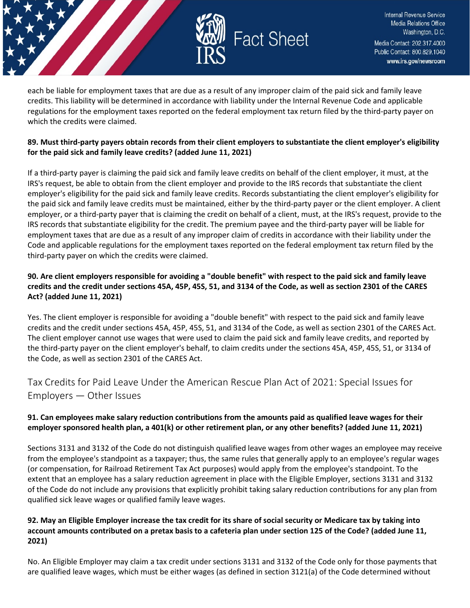

each be liable for employment taxes that are due as a result of any improper claim of the paid sick and family leave credits. This liability will be determined in accordance with liability under the Internal Revenue Code and applicable regulations for the employment taxes reported on the federal employment tax return filed by the third-party payer on which the credits were claimed.

## **89. Must third-party payers obtain records from their client employers to substantiate the client employer's eligibility for the paid sick and family leave credits? (added June 11, 2021)**

If a third-party payer is claiming the paid sick and family leave credits on behalf of the client employer, it must, at the IRS's request, be able to obtain from the client employer and provide to the IRS records that substantiate the client employer's eligibility for the paid sick and family leave credits. Records substantiating the client employer's eligibility for the paid sick and family leave credits must be maintained, either by the third-party payer or the client employer. A client employer, or a third-party payer that is claiming the credit on behalf of a client, must, at the IRS's request, provide to the IRS records that substantiate eligibility for the credit. The premium payee and the third-party payer will be liable for employment taxes that are due as a result of any improper claim of credits in accordance with their liability under the Code and applicable regulations for the employment taxes reported on the federal employment tax return filed by the third-party payer on which the credits were claimed.

## **90. Are client employers responsible for avoiding a "double benefit" with respect to the paid sick and family leave credits and the credit under sections 45A, 45P, 45S, 51, and 3134 of the Code, as well as section 2301 of the CARES Act? (added June 11, 2021)**

Yes. The client employer is responsible for avoiding a "double benefit" with respect to the paid sick and family leave credits and the credit under sections 45A, 45P, 45S, 51, and 3134 of the Code, as well as section 2301 of the CARES Act. The client employer cannot use wages that were used to claim the paid sick and family leave credits, and reported by the third-party payer on the client employer's behalf, to claim credits under the sections 45A, 45P, 45S, 51, or 3134 of the Code, as well as section 2301 of the CARES Act.

<span id="page-37-0"></span>Tax Credits for Paid Leave Under the American Rescue Plan Act of 2021: Special Issues for Employers — Other Issues

## **91. Can employees make salary reduction contributions from the amounts paid as qualified leave wages for their employer sponsored health plan, a 401(k) or other retirement plan, or any other benefits? (added June 11, 2021)**

Sections 3131 and 3132 of the Code do not distinguish qualified leave wages from other wages an employee may receive from the employee's standpoint as a taxpayer; thus, the same rules that generally apply to an employee's regular wages (or compensation, for Railroad Retirement Tax Act purposes) would apply from the employee's standpoint. To the extent that an employee has a salary reduction agreement in place with the Eligible Employer, sections 3131 and 3132 of the Code do not include any provisions that explicitly prohibit taking salary reduction contributions for any plan from qualified sick leave wages or qualified family leave wages.

#### **92. May an Eligible Employer increase the tax credit for its share of social security or Medicare tax by taking into account amounts contributed on a pretax basis to a cafeteria plan under section 125 of the Code? (added June 11, 2021)**

No. An Eligible Employer may claim a tax credit under sections 3131 and 3132 of the Code only for those payments that are qualified leave wages, which must be either wages (as defined in section 3121(a) of the Code determined without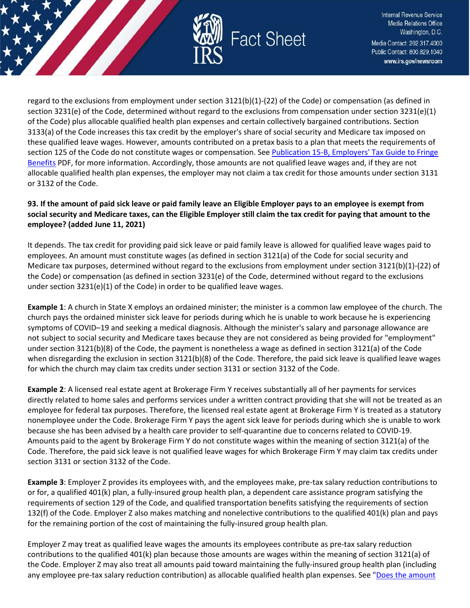

regard to the exclusions from employment under section 3121(b)(1)-(22) of the Code) or compensation (as defined in section 3231(e) of the Code, determined without regard to the exclusions from compensation under section 3231(e)(1) of the Code) plus allocable qualified health plan expenses and certain collectively bargained contributions. Section 3133(a) of the Code increases this tax credit by the employer's share of social security and Medicare tax imposed on these qualified leave wages. However, amounts contributed on a pretax basis to a plan that meets the requirements of section 125 of the Code do not constitute wages or compensation. See [Publication 15-B, Employers' Tax Guide to Fringe](https://www.irs.gov/pub/irs-pdf/p15b.pdf)  [Benefits](https://www.irs.gov/pub/irs-pdf/p15b.pdf) PDF, for more information. Accordingly, those amounts are not qualified leave wages and, if they are not allocable qualified health plan expenses, the employer may not claim a tax credit for those amounts under section 3131 or 3132 of the Code.

#### **93. If the amount of paid sick leave or paid family leave an Eligible Employer pays to an employee is exempt from social security and Medicare taxes, can the Eligible Employer still claim the tax credit for paying that amount to the employee? (added June 11, 2021)**

It depends. The tax credit for providing paid sick leave or paid family leave is allowed for qualified leave wages paid to employees. An amount must constitute wages (as defined in section 3121(a) of the Code for social security and Medicare tax purposes, determined without regard to the exclusions from employment under section 3121(b)(1)-(22) of the Code) or compensation (as defined in section 3231(e) of the Code, determined without regard to the exclusions under section 3231(e)(1) of the Code) in order to be qualified leave wages.

**Example 1**: A church in State X employs an ordained minister; the minister is a common law employee of the church. The church pays the ordained minister sick leave for periods during which he is unable to work because he is experiencing symptoms of COVID–19 and seeking a medical diagnosis. Although the minister's salary and parsonage allowance are not subject to social security and Medicare taxes because they are not considered as being provided for "employment" under section 3121(b)(8) of the Code, the payment is nonetheless a wage as defined in section 3121(a) of the Code when disregarding the exclusion in section 3121(b)(8) of the Code. Therefore, the paid sick leave is qualified leave wages for which the church may claim tax credits under section 3131 or section 3132 of the Code.

**Example 2**: A licensed real estate agent at Brokerage Firm Y receives substantially all of her payments for services directly related to home sales and performs services under a written contract providing that she will not be treated as an employee for federal tax purposes. Therefore, the licensed real estate agent at Brokerage Firm Y is treated as a statutory nonemployee under the Code. Brokerage Firm Y pays the agent sick leave for periods during which she is unable to work because she has been advised by a health care provider to self-quarantine due to concerns related to COVID-19. Amounts paid to the agent by Brokerage Firm Y do not constitute wages within the meaning of section 3121(a) of the Code. Therefore, the paid sick leave is not qualified leave wages for which Brokerage Firm Y may claim tax credits under section 3131 or section 3132 of the Code.

**Example 3**: Employer Z provides its employees with, and the employees make, pre-tax salary reduction contributions to or for, a qualified 401(k) plan, a fully-insured group health plan, a dependent care assistance program satisfying the requirements of section 129 of the Code, and qualified transportation benefits satisfying the requirements of section 132(f) of the Code. Employer Z also makes matching and nonelective contributions to the qualified 401(k) plan and pays for the remaining portion of the cost of maintaining the fully-insured group health plan.

Employer Z may treat as qualified leave wages the amounts its employees contribute as pre-tax salary reduction contributions to the qualified 401(k) plan because those amounts are wages within the meaning of section 3121(a) of the Code. Employer Z may also treat all amounts paid toward maintaining the fully-insured group health plan (including any employee pre-tax salary reduction contribution) as allocable qualified health plan expenses. See "Does the amount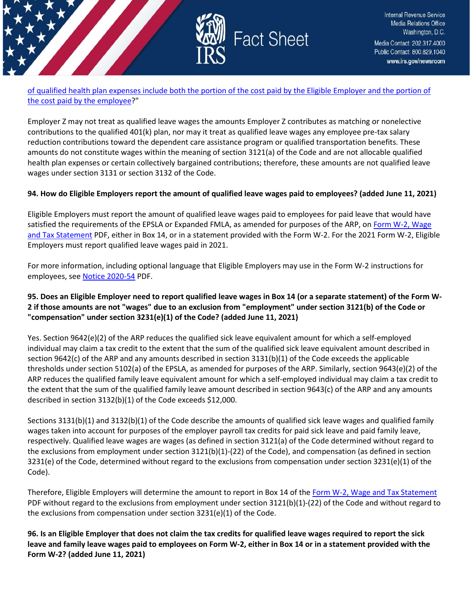

[of qualified health plan expenses include both the portion of the cost paid by the Eligible Employer and the portion of](https://www.irs.gov/newsroom/tax-credits-for-paid-leave-under-the-american-rescue-plan-act-of-2021-special-issues-for-employers-other-issues#_Does_the_amount)  [the cost paid by the employee?](https://www.irs.gov/newsroom/tax-credits-for-paid-leave-under-the-american-rescue-plan-act-of-2021-special-issues-for-employers-other-issues#_Does_the_amount)"

Employer Z may not treat as qualified leave wages the amounts Employer Z contributes as matching or nonelective contributions to the qualified 401(k) plan, nor may it treat as qualified leave wages any employee pre-tax salary reduction contributions toward the dependent care assistance program or qualified transportation benefits. These amounts do not constitute wages within the meaning of section 3121(a) of the Code and are not allocable qualified health plan expenses or certain collectively bargained contributions; therefore, these amounts are not qualified leave wages under section 3131 or section 3132 of the Code.

#### **94. How do Eligible Employers report the amount of qualified leave wages paid to employees? (added June 11, 2021)**

Eligible Employers must report the amount of qualified leave wages paid to employees for paid leave that would have satisfied the requirements of the EPSLA or Expanded FMLA, as amended for purposes of the ARP, o[n Form W-2, Wage](https://www.irs.gov/pub/irs-pdf/fw2.pdf)  [and Tax Statement](https://www.irs.gov/pub/irs-pdf/fw2.pdf) PDF, either in Box 14, or in a statement provided with the Form W-2. For the 2021 Form W-2, Eligible Employers must report qualified leave wages paid in 2021.

For more information, including optional language that Eligible Employers may use in the Form W-2 instructions for employees, se[e Notice 2020-54](https://www.irs.gov/pub/irs-drop/n-20-54.pdf) PDF.

## **95. Does an Eligible Employer need to report qualified leave wages in Box 14 (or a separate statement) of the Form W-2 if those amounts are not "wages" due to an exclusion from "employment" under section 3121(b) of the Code or "compensation" under section 3231(e)(1) of the Code? (added June 11, 2021)**

Yes. Section 9642(e)(2) of the ARP reduces the qualified sick leave equivalent amount for which a self-employed individual may claim a tax credit to the extent that the sum of the qualified sick leave equivalent amount described in section 9642(c) of the ARP and any amounts described in section 3131(b)(1) of the Code exceeds the applicable thresholds under section 5102(a) of the EPSLA, as amended for purposes of the ARP. Similarly, section 9643(e)(2) of the ARP reduces the qualified family leave equivalent amount for which a self-employed individual may claim a tax credit to the extent that the sum of the qualified family leave amount described in section 9643(c) of the ARP and any amounts described in section 3132(b)(1) of the Code exceeds \$12,000.

Sections 3131(b)(1) and 3132(b)(1) of the Code describe the amounts of qualified sick leave wages and qualified family wages taken into account for purposes of the employer payroll tax credits for paid sick leave and paid family leave, respectively. Qualified leave wages are wages (as defined in section 3121(a) of the Code determined without regard to the exclusions from employment under section 3121(b)(1)-(22) of the Code), and compensation (as defined in section 3231(e) of the Code, determined without regard to the exclusions from compensation under section 3231(e)(1) of the Code).

Therefore, Eligible Employers will determine the amount to report in Box 14 of the [Form W-2, Wage and Tax Statement](https://www.irs.gov/pub/irs-pdf/fw2.pdf) PDF without regard to the exclusions from employment under section 3121(b)(1)-(22) of the Code and without regard to the exclusions from compensation under section 3231(e)(1) of the Code.

**96. Is an Eligible Employer that does not claim the tax credits for qualified leave wages required to report the sick leave and family leave wages paid to employees on Form W-2, either in Box 14 or in a statement provided with the Form W-2? (added June 11, 2021)**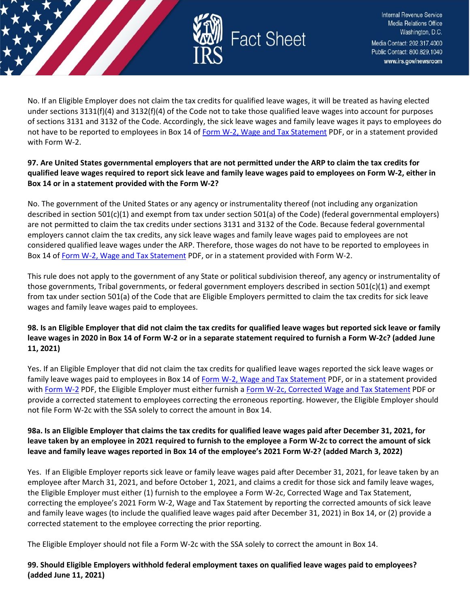

No. If an Eligible Employer does not claim the tax credits for qualified leave wages, it will be treated as having elected under sections 3131(f)(4) and 3132(f)(4) of the Code not to take those qualified leave wages into account for purposes of sections 3131 and 3132 of the Code. Accordingly, the sick leave wages and family leave wages it pays to employees do not have to be reported to employees in Box 14 o[f Form W-2, Wage and Tax Statement](https://www.irs.gov/pub/irs-pdf/fw2.pdf) PDF, or in a statement provided with Form W-2.

#### **97. Are United States governmental employers that are not permitted under the ARP to claim the tax credits for qualified leave wages required to report sick leave and family leave wages paid to employees on Form W-2, either in Box 14 or in a statement provided with the Form W-2?**

No. The government of the United States or any agency or instrumentality thereof (not including any organization described in section 501(c)(1) and exempt from tax under section 501(a) of the Code) (federal governmental employers) are not permitted to claim the tax credits under sections 3131 and 3132 of the Code. Because federal governmental employers cannot claim the tax credits, any sick leave wages and family leave wages paid to employees are not considered qualified leave wages under the ARP. Therefore, those wages do not have to be reported to employees in Box 14 o[f Form W-2, Wage and Tax Statement](https://www.irs.gov/pub/irs-pdf/fw2.pdf) PDF, or in a statement provided with Form W-2.

This rule does not apply to the government of any State or political subdivision thereof, any agency or instrumentality of those governments, Tribal governments, or federal government employers described in section 501(c)(1) and exempt from tax under section 501(a) of the Code that are Eligible Employers permitted to claim the tax credits for sick leave wages and family leave wages paid to employees.

## **98. Is an Eligible Employer that did not claim the tax credits for qualified leave wages but reported sick leave or family leave wages in 2020 in Box 14 of Form W-2 or in a separate statement required to furnish a Form W-2c? (added June 11, 2021)**

Yes. If an Eligible Employer that did not claim the tax credits for qualified leave wages reported the sick leave wages or family leave wages paid to employees in Box 14 o[f Form W-2, Wage and Tax Statement](https://www.irs.gov/pub/irs-pdf/fw2.pdf) PDF, or in a statement provided with [Form W-2](https://www.irs.gov/pub/irs-pdf/fw2.pdf) PDF, the Eligible Employer must either furnish a [Form W-2c, Corrected Wage and Tax Statement](https://www.irs.gov/pub/irs-pdf/fw2c.pdf) PDF or provide a corrected statement to employees correcting the erroneous reporting. However, the Eligible Employer should not file Form W-2c with the SSA solely to correct the amount in Box 14.

## **98a. Is an Eligible Employer that claims the tax credits for qualified leave wages paid after December 31, 2021, for leave taken by an employee in 2021 required to furnish to the employee a Form W-2c to correct the amount of sick leave and family leave wages reported in Box 14 of the employee's 2021 Form W-2? (added March 3, 2022)**

Yes. If an Eligible Employer reports sick leave or family leave wages paid after December 31, 2021, for leave taken by an employee after March 31, 2021, and before October 1, 2021, and claims a credit for those sick and family leave wages, the Eligible Employer must either (1) furnish to the employee a Form W-2c, Corrected Wage and Tax Statement, correcting the employee's 2021 Form W-2, Wage and Tax Statement by reporting the corrected amounts of sick leave and family leave wages (to include the qualified leave wages paid after December 31, 2021) in Box 14, or (2) provide a corrected statement to the employee correcting the prior reporting.

The Eligible Employer should not file a Form W-2c with the SSA solely to correct the amount in Box 14.

## **99. Should Eligible Employers withhold federal employment taxes on qualified leave wages paid to employees? (added June 11, 2021)**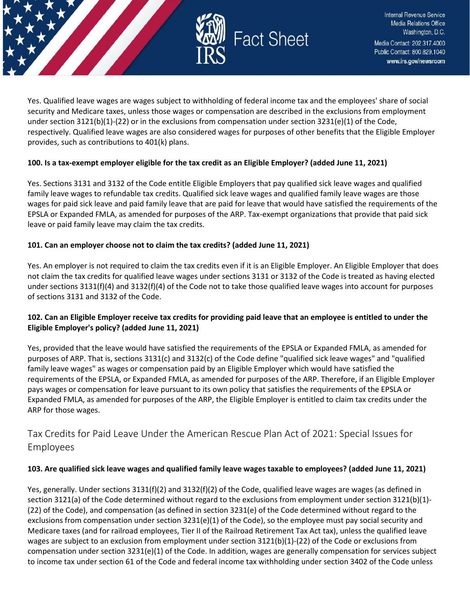

Yes. Qualified leave wages are wages subject to withholding of federal income tax and the employees' share of social security and Medicare taxes, unless those wages or compensation are described in the exclusions from employment under section  $3121(b)(1)-(22)$  or in the exclusions from compensation under section  $3231(e)(1)$  of the Code, respectively. Qualified leave wages are also considered wages for purposes of other benefits that the Eligible Employer provides, such as contributions to 401(k) plans.

#### **100. Is a tax-exempt employer eligible for the tax credit as an Eligible Employer? (added June 11, 2021)**

Yes. Sections 3131 and 3132 of the Code entitle Eligible Employers that pay qualified sick leave wages and qualified family leave wages to refundable tax credits. Qualified sick leave wages and qualified family leave wages are those wages for paid sick leave and paid family leave that are paid for leave that would have satisfied the requirements of the EPSLA or Expanded FMLA, as amended for purposes of the ARP. Tax-exempt organizations that provide that paid sick leave or paid family leave may claim the tax credits.

#### **101. Can an employer choose not to claim the tax credits? (added June 11, 2021)**

Yes. An employer is not required to claim the tax credits even if it is an Eligible Employer. An Eligible Employer that does not claim the tax credits for qualified leave wages under sections 3131 or 3132 of the Code is treated as having elected under sections 3131(f)(4) and 3132(f)(4) of the Code not to take those qualified leave wages into account for purposes of sections 3131 and 3132 of the Code.

#### **102. Can an Eligible Employer receive tax credits for providing paid leave that an employee is entitled to under the Eligible Employer's policy? (added June 11, 2021)**

Yes, provided that the leave would have satisfied the requirements of the EPSLA or Expanded FMLA, as amended for purposes of ARP. That is, sections 3131(c) and 3132(c) of the Code define "qualified sick leave wages" and "qualified family leave wages" as wages or compensation paid by an Eligible Employer which would have satisfied the requirements of the EPSLA, or Expanded FMLA, as amended for purposes of the ARP. Therefore, if an Eligible Employer pays wages or compensation for leave pursuant to its own policy that satisfies the requirements of the EPSLA or Expanded FMLA, as amended for purposes of the ARP, the Eligible Employer is entitled to claim tax credits under the ARP for those wages.

## <span id="page-41-0"></span>Tax Credits for Paid Leave Under the American Rescue Plan Act of 2021: Special Issues for Employees

#### **103. Are qualified sick leave wages and qualified family leave wages taxable to employees? (added June 11, 2021)**

Yes, generally. Under sections 3131(f)(2) and 3132(f)(2) of the Code, qualified leave wages are wages (as defined in section 3121(a) of the Code determined without regard to the exclusions from employment under section 3121(b)(1)-(22) of the Code), and compensation (as defined in section 3231(e) of the Code determined without regard to the exclusions from compensation under section 3231(e)(1) of the Code), so the employee must pay social security and Medicare taxes (and for railroad employees, Tier II of the Railroad Retirement Tax Act tax), unless the qualified leave wages are subject to an exclusion from employment under section 3121(b)(1)-(22) of the Code or exclusions from compensation under section  $3231(e)(1)$  of the Code. In addition, wages are generally compensation for services subject to income tax under section 61 of the Code and federal income tax withholding under section 3402 of the Code unless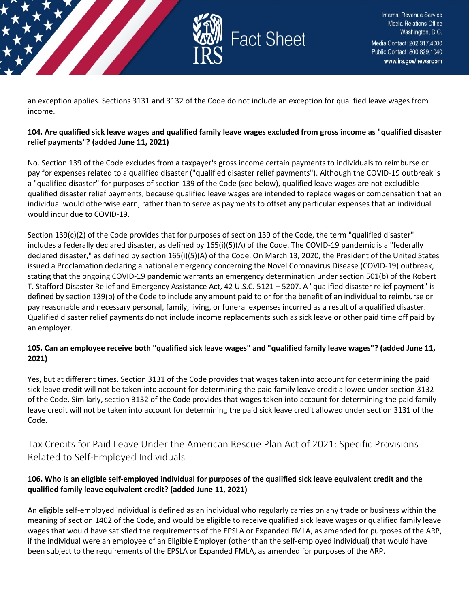

an exception applies. Sections 3131 and 3132 of the Code do not include an exception for qualified leave wages from income.

#### **104. Are qualified sick leave wages and qualified family leave wages excluded from gross income as "qualified disaster relief payments"? (added June 11, 2021)**

No. Section 139 of the Code excludes from a taxpayer's gross income certain payments to individuals to reimburse or pay for expenses related to a qualified disaster ("qualified disaster relief payments"). Although the COVID-19 outbreak is a "qualified disaster" for purposes of section 139 of the Code (see below), qualified leave wages are not excludible qualified disaster relief payments, because qualified leave wages are intended to replace wages or compensation that an individual would otherwise earn, rather than to serve as payments to offset any particular expenses that an individual would incur due to COVID-19.

Section 139(c)(2) of the Code provides that for purposes of section 139 of the Code, the term "qualified disaster" includes a federally declared disaster, as defined by 165(i)(5)(A) of the Code. The COVID-19 pandemic is a "federally declared disaster," as defined by section 165(i)(5)(A) of the Code. On March 13, 2020, the President of the United States issued a Proclamation declaring a national emergency concerning the Novel Coronavirus Disease (COVID-19) outbreak, stating that the ongoing COVID-19 pandemic warrants an emergency determination under section 501(b) of the Robert T. Stafford Disaster Relief and Emergency Assistance Act, 42 U.S.C. 5121 – 5207. A "qualified disaster relief payment" is defined by section 139(b) of the Code to include any amount paid to or for the benefit of an individual to reimburse or pay reasonable and necessary personal, family, living, or funeral expenses incurred as a result of a qualified disaster. Qualified disaster relief payments do not include income replacements such as sick leave or other paid time off paid by an employer.

## **105. Can an employee receive both "qualified sick leave wages" and "qualified family leave wages"? (added June 11, 2021)**

Yes, but at different times. Section 3131 of the Code provides that wages taken into account for determining the paid sick leave credit will not be taken into account for determining the paid family leave credit allowed under section 3132 of the Code. Similarly, section 3132 of the Code provides that wages taken into account for determining the paid family leave credit will not be taken into account for determining the paid sick leave credit allowed under section 3131 of the Code.

<span id="page-42-0"></span>Tax Credits for Paid Leave Under the American Rescue Plan Act of 2021: Specific Provisions Related to Self-Employed Individuals

## **106. Who is an eligible self-employed individual for purposes of the qualified sick leave equivalent credit and the qualified family leave equivalent credit? (added June 11, 2021)**

An eligible self-employed individual is defined as an individual who regularly carries on any trade or business within the meaning of section 1402 of the Code, and would be eligible to receive qualified sick leave wages or qualified family leave wages that would have satisfied the requirements of the EPSLA or Expanded FMLA, as amended for purposes of the ARP, if the individual were an employee of an Eligible Employer (other than the self-employed individual) that would have been subject to the requirements of the EPSLA or Expanded FMLA, as amended for purposes of the ARP.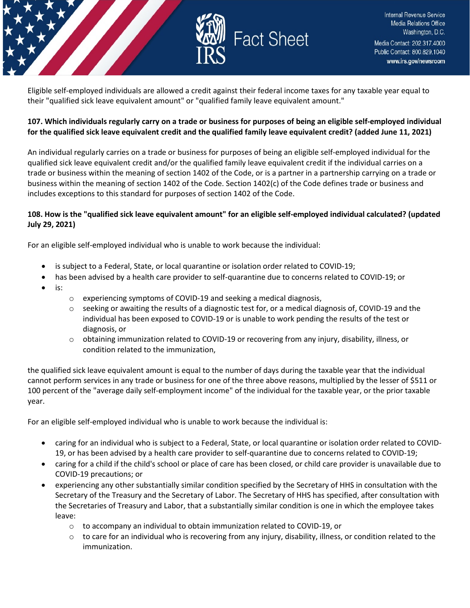

Eligible self-employed individuals are allowed a credit against their federal income taxes for any taxable year equal to their "qualified sick leave equivalent amount" or "qualified family leave equivalent amount."

#### **107. Which individuals regularly carry on a trade or business for purposes of being an eligible self-employed individual for the qualified sick leave equivalent credit and the qualified family leave equivalent credit? (added June 11, 2021)**

An individual regularly carries on a trade or business for purposes of being an eligible self-employed individual for the qualified sick leave equivalent credit and/or the qualified family leave equivalent credit if the individual carries on a trade or business within the meaning of section 1402 of the Code, or is a partner in a partnership carrying on a trade or business within the meaning of section 1402 of the Code. Section 1402(c) of the Code defines trade or business and includes exceptions to this standard for purposes of section 1402 of the Code.

#### **108. How is the "qualified sick leave equivalent amount" for an eligible self-employed individual calculated? (updated July 29, 2021)**

For an eligible self-employed individual who is unable to work because the individual:

- is subject to a Federal, State, or local quarantine or isolation order related to COVID-19;
	- has been advised by a health care provider to self-quarantine due to concerns related to COVID-19; or
- is:
- o experiencing symptoms of COVID-19 and seeking a medical diagnosis,
- $\circ$  seeking or awaiting the results of a diagnostic test for, or a medical diagnosis of, COVID-19 and the individual has been exposed to COVID-19 or is unable to work pending the results of the test or diagnosis, or
- o obtaining immunization related to COVID-19 or recovering from any injury, disability, illness, or condition related to the immunization,

the qualified sick leave equivalent amount is equal to the number of days during the taxable year that the individual cannot perform services in any trade or business for one of the three above reasons, multiplied by the lesser of \$511 or 100 percent of the "average daily self-employment income" of the individual for the taxable year, or the prior taxable year.

For an eligible self-employed individual who is unable to work because the individual is:

- caring for an individual who is subject to a Federal, State, or local quarantine or isolation order related to COVID-19, or has been advised by a health care provider to self-quarantine due to concerns related to COVID-19;
- caring for a child if the child's school or place of care has been closed, or child care provider is unavailable due to COVID-19 precautions; or
- experiencing any other substantially similar condition specified by the Secretary of HHS in consultation with the Secretary of the Treasury and the Secretary of Labor. The Secretary of HHS has specified, after consultation with the Secretaries of Treasury and Labor, that a substantially similar condition is one in which the employee takes leave:
	- $\circ$  to accompany an individual to obtain immunization related to COVID-19, or
	- $\circ$  to care for an individual who is recovering from any injury, disability, illness, or condition related to the immunization.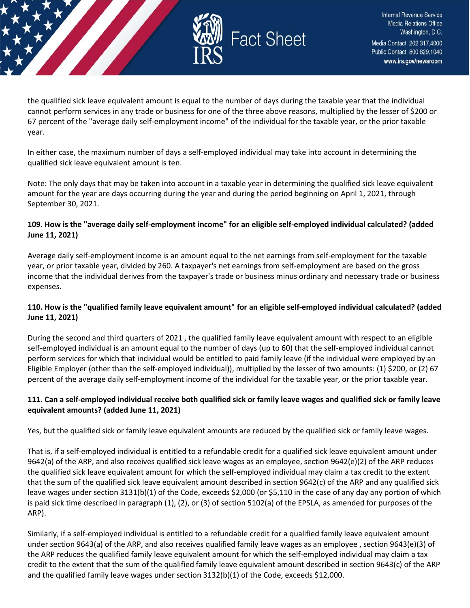

the qualified sick leave equivalent amount is equal to the number of days during the taxable year that the individual cannot perform services in any trade or business for one of the three above reasons, multiplied by the lesser of \$200 or 67 percent of the "average daily self-employment income" of the individual for the taxable year, or the prior taxable year.

In either case, the maximum number of days a self-employed individual may take into account in determining the qualified sick leave equivalent amount is ten.

Note: The only days that may be taken into account in a taxable year in determining the qualified sick leave equivalent amount for the year are days occurring during the year and during the period beginning on April 1, 2021, through September 30, 2021.

#### **109. How is the "average daily self-employment income" for an eligible self-employed individual calculated? (added June 11, 2021)**

Average daily self-employment income is an amount equal to the net earnings from self-employment for the taxable year, or prior taxable year, divided by 260. A taxpayer's net earnings from self-employment are based on the gross income that the individual derives from the taxpayer's trade or business minus ordinary and necessary trade or business expenses.

## **110. How is the "qualified family leave equivalent amount" for an eligible self-employed individual calculated? (added June 11, 2021)**

During the second and third quarters of 2021 , the qualified family leave equivalent amount with respect to an eligible self-employed individual is an amount equal to the number of days (up to 60) that the self-employed individual cannot perform services for which that individual would be entitled to paid family leave (if the individual were employed by an Eligible Employer (other than the self-employed individual)), multiplied by the lesser of two amounts: (1) \$200, or (2) 67 percent of the average daily self-employment income of the individual for the taxable year, or the prior taxable year.

## **111. Can a self-employed individual receive both qualified sick or family leave wages and qualified sick or family leave equivalent amounts? (added June 11, 2021)**

Yes, but the qualified sick or family leave equivalent amounts are reduced by the qualified sick or family leave wages.

That is, if a self-employed individual is entitled to a refundable credit for a qualified sick leave equivalent amount under 9642(a) of the ARP, and also receives qualified sick leave wages as an employee, section 9642(e)(2) of the ARP reduces the qualified sick leave equivalent amount for which the self-employed individual may claim a tax credit to the extent that the sum of the qualified sick leave equivalent amount described in section 9642(c) of the ARP and any qualified sick leave wages under section 3131(b)(1) of the Code, exceeds \$2,000 (or \$5,110 in the case of any day any portion of which is paid sick time described in paragraph (1), (2), or (3) of section 5102(a) of the EPSLA, as amended for purposes of the ARP).

Similarly, if a self-employed individual is entitled to a refundable credit for a qualified family leave equivalent amount under section 9643(a) of the ARP, and also receives qualified family leave wages as an employee , section 9643(e)(3) of the ARP reduces the qualified family leave equivalent amount for which the self-employed individual may claim a tax credit to the extent that the sum of the qualified family leave equivalent amount described in section 9643(c) of the ARP and the qualified family leave wages under section 3132(b)(1) of the Code, exceeds \$12,000.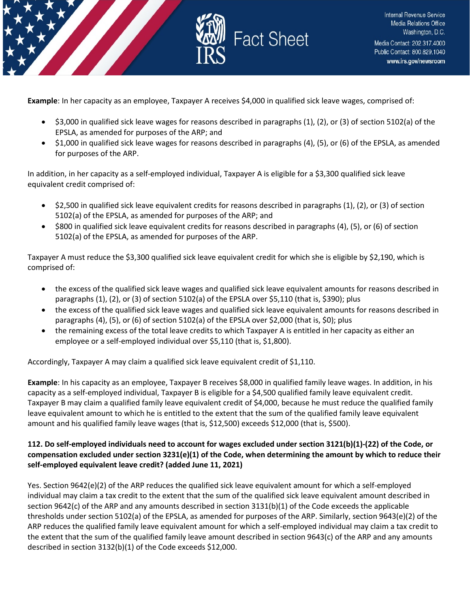

**Example**: In her capacity as an employee, Taxpayer A receives \$4,000 in qualified sick leave wages, comprised of:

- \$3,000 in qualified sick leave wages for reasons described in paragraphs (1), (2), or (3) of section 5102(a) of the EPSLA, as amended for purposes of the ARP; and
- \$1,000 in qualified sick leave wages for reasons described in paragraphs (4), (5), or (6) of the EPSLA, as amended for purposes of the ARP.

In addition, in her capacity as a self-employed individual, Taxpayer A is eligible for a \$3,300 qualified sick leave equivalent credit comprised of:

- \$2,500 in qualified sick leave equivalent credits for reasons described in paragraphs (1), (2), or (3) of section 5102(a) of the EPSLA, as amended for purposes of the ARP; and
- \$800 in qualified sick leave equivalent credits for reasons described in paragraphs (4), (5), or (6) of section 5102(a) of the EPSLA, as amended for purposes of the ARP.

Taxpayer A must reduce the \$3,300 qualified sick leave equivalent credit for which she is eligible by \$2,190, which is comprised of:

- the excess of the qualified sick leave wages and qualified sick leave equivalent amounts for reasons described in paragraphs (1), (2), or (3) of section 5102(a) of the EPSLA over \$5,110 (that is, \$390); plus
- the excess of the qualified sick leave wages and qualified sick leave equivalent amounts for reasons described in paragraphs (4), (5), or (6) of section 5102(a) of the EPSLA over \$2,000 (that is, \$0); plus
- the remaining excess of the total leave credits to which Taxpayer A is entitled in her capacity as either an employee or a self-employed individual over \$5,110 (that is, \$1,800).

Accordingly, Taxpayer A may claim a qualified sick leave equivalent credit of \$1,110.

**Example**: In his capacity as an employee, Taxpayer B receives \$8,000 in qualified family leave wages. In addition, in his capacity as a self-employed individual, Taxpayer B is eligible for a \$4,500 qualified family leave equivalent credit. Taxpayer B may claim a qualified family leave equivalent credit of \$4,000, because he must reduce the qualified family leave equivalent amount to which he is entitled to the extent that the sum of the qualified family leave equivalent amount and his qualified family leave wages (that is, \$12,500) exceeds \$12,000 (that is, \$500).

#### **112. Do self-employed individuals need to account for wages excluded under section 3121(b)(1)-(22) of the Code, or compensation excluded under section 3231(e)(1) of the Code, when determining the amount by which to reduce their self-employed equivalent leave credit? (added June 11, 2021)**

Yes. Section 9642(e)(2) of the ARP reduces the qualified sick leave equivalent amount for which a self-employed individual may claim a tax credit to the extent that the sum of the qualified sick leave equivalent amount described in section 9642(c) of the ARP and any amounts described in section 3131(b)(1) of the Code exceeds the applicable thresholds under section 5102(a) of the EPSLA, as amended for purposes of the ARP. Similarly, section 9643(e)(2) of the ARP reduces the qualified family leave equivalent amount for which a self-employed individual may claim a tax credit to the extent that the sum of the qualified family leave amount described in section 9643(c) of the ARP and any amounts described in section 3132(b)(1) of the Code exceeds \$12,000.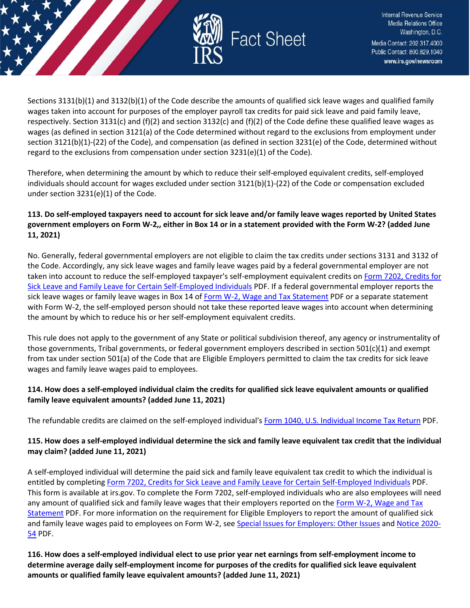

Sections 3131(b)(1) and 3132(b)(1) of the Code describe the amounts of qualified sick leave wages and qualified family wages taken into account for purposes of the employer payroll tax credits for paid sick leave and paid family leave, respectively. Section 3131(c) and (f)(2) and section 3132(c) and (f)(2) of the Code define these qualified leave wages as wages (as defined in section 3121(a) of the Code determined without regard to the exclusions from employment under section 3121(b)(1)-(22) of the Code), and compensation (as defined in section 3231(e) of the Code, determined without regard to the exclusions from compensation under section  $3231(e)(1)$  of the Code).

Therefore, when determining the amount by which to reduce their self-employed equivalent credits, self-employed individuals should account for wages excluded under section 3121(b)(1)-(22) of the Code or compensation excluded under section 3231(e)(1) of the Code.

## **113. Do self-employed taxpayers need to account for sick leave and/or family leave wages reported by United States government employers on Form W-2,, either in Box 14 or in a statement provided with the Form W-2? (added June 11, 2021)**

No. Generally, federal governmental employers are not eligible to claim the tax credits under sections 3131 and 3132 of the Code. Accordingly, any sick leave wages and family leave wages paid by a federal governmental employer are not taken into account to reduce the self-employed taxpayer's self-employment equivalent credits o[n Form 7202, Credits for](https://www.irs.gov/pub/irs-pdf/f7202.pdf)  [Sick Leave and Family Leave for Certain Self-Employed Individuals](https://www.irs.gov/pub/irs-pdf/f7202.pdf) PDF. If a federal governmental employer reports the sick leave wages or family leave wages in Box 14 o[f Form W-2, Wage and Tax Statement](https://www.irs.gov/pub/irs-pdf/fw2.pdf) PDF or a separate statement with Form W-2, the self-employed person should not take these reported leave wages into account when determining the amount by which to reduce his or her self-employment equivalent credits.

This rule does not apply to the government of any State or political subdivision thereof, any agency or instrumentality of those governments, Tribal governments, or federal government employers described in section 501(c)(1) and exempt from tax under section 501(a) of the Code that are Eligible Employers permitted to claim the tax credits for sick leave wages and family leave wages paid to employees.

## **114. How does a self-employed individual claim the credits for qualified sick leave equivalent amounts or qualified family leave equivalent amounts? (added June 11, 2021)**

The refundable credits are claimed on the self-employed individual's [Form 1040, U.S. Individual Income Tax Return](https://www.irs.gov/pub/irs-pdf/f1040.pdf) PDF.

## **115. How does a self-employed individual determine the sick and family leave equivalent tax credit that the individual may claim? (added June 11, 2021)**

A self-employed individual will determine the paid sick and family leave equivalent tax credit to which the individual is entitled by completing [Form 7202, Credits for Sick Leave and Family Leave for Certain Self-Employed Individuals](https://www.irs.gov/pub/irs-pdf/f7202.pdf) PDF. This form is available at irs.gov. To complete the Form 7202, self-employed individuals who are also employees will need any amount of qualified sick and family leave wages that their employers reported on the [Form W-2, Wage and Tax](https://www.irs.gov/pub/irs-pdf/fw2.pdf)  [Statement](https://www.irs.gov/pub/irs-pdf/fw2.pdf) PDF. For more information on the requirement for Eligible Employers to report the amount of qualified sick and family leave wages paid to employees on Form W-2, se[e Special Issues for Employers: Other Issues](https://www.irs.gov/newsroom/tax-credits-for-paid-leave-under-the-american-rescue-plan-act-of-2021-special-issues-for-employers-other-issues) and [Notice 2020-](https://www.irs.gov/pub/irs-drop/n-20-54.pdf) [54](https://www.irs.gov/pub/irs-drop/n-20-54.pdf) PDF.

**116. How does a self-employed individual elect to use prior year net earnings from self-employment income to determine average daily self-employment income for purposes of the credits for qualified sick leave equivalent amounts or qualified family leave equivalent amounts? (added June 11, 2021)**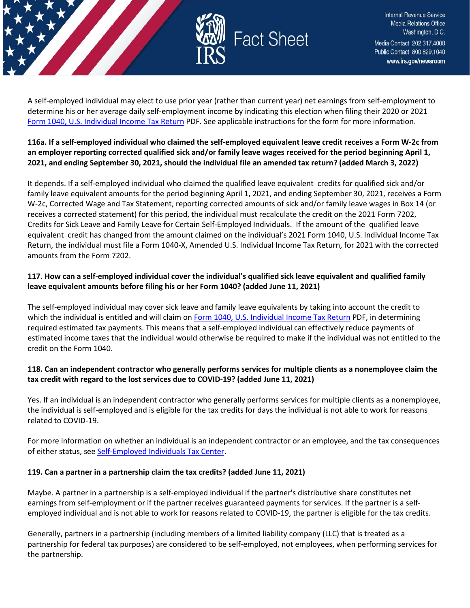

A self-employed individual may elect to use prior year (rather than current year) net earnings from self-employment to determine his or her average daily self-employment income by indicating this election when filing their 2020 or 2021 [Form 1040, U.S. Individual Income Tax Return](https://www.irs.gov/pub/irs-pdf/f1040.pdf) PDF. See applicable instructions for the form for more information.

#### **116a. If a self-employed individual who claimed the self-employed equivalent leave credit receives a Form W-2c from an employer reporting corrected qualified sick and/or family leave wages received for the period beginning April 1, 2021, and ending September 30, 2021, should the individual file an amended tax return? (added March 3, 2022)**

It depends. If a self-employed individual who claimed the qualified leave equivalent credits for qualified sick and/or family leave equivalent amounts for the period beginning April 1, 2021, and ending September 30, 2021, receives a Form W-2c, Corrected Wage and Tax Statement, reporting corrected amounts of sick and/or family leave wages in Box 14 (or receives a corrected statement) for this period, the individual must recalculate the credit on the 2021 Form 7202, Credits for Sick Leave and Family Leave for Certain Self-Employed Individuals. If the amount of the qualified leave equivalent credit has changed from the amount claimed on the individual's 2021 Form 1040, U.S. Individual Income Tax Return, the individual must file a Form 1040-X, Amended U.S. Individual Income Tax Return, for 2021 with the corrected amounts from the Form 7202.

## **117. How can a self-employed individual cover the individual's qualified sick leave equivalent and qualified family leave equivalent amounts before filing his or her Form 1040? (added June 11, 2021)**

The self-employed individual may cover sick leave and family leave equivalents by taking into account the credit to which the individual is entitled and will claim o[n Form 1040, U.S. Individual Income Tax Return](https://www.irs.gov/pub/irs-pdf/f1040.pdf) PDF, in determining required estimated tax payments. This means that a self-employed individual can effectively reduce payments of estimated income taxes that the individual would otherwise be required to make if the individual was not entitled to the credit on the Form 1040.

## **118. Can an independent contractor who generally performs services for multiple clients as a nonemployee claim the tax credit with regard to the lost services due to COVID-19? (added June 11, 2021)**

Yes. If an individual is an independent contractor who generally performs services for multiple clients as a nonemployee, the individual is self-employed and is eligible for the tax credits for days the individual is not able to work for reasons related to COVID-19.

For more information on whether an individual is an independent contractor or an employee, and the tax consequences of either status, see [Self-Employed Individuals Tax Center.](https://www.irs.gov/businesses/small-businesses-self-employed/self-employed-individuals-tax-center)

## **119. Can a partner in a partnership claim the tax credits? (added June 11, 2021)**

Maybe. A partner in a partnership is a self-employed individual if the partner's distributive share constitutes net earnings from self-employment or if the partner receives guaranteed payments for services. If the partner is a selfemployed individual and is not able to work for reasons related to COVID-19, the partner is eligible for the tax credits.

Generally, partners in a partnership (including members of a limited liability company (LLC) that is treated as a partnership for federal tax purposes) are considered to be self-employed, not employees, when performing services for the partnership.